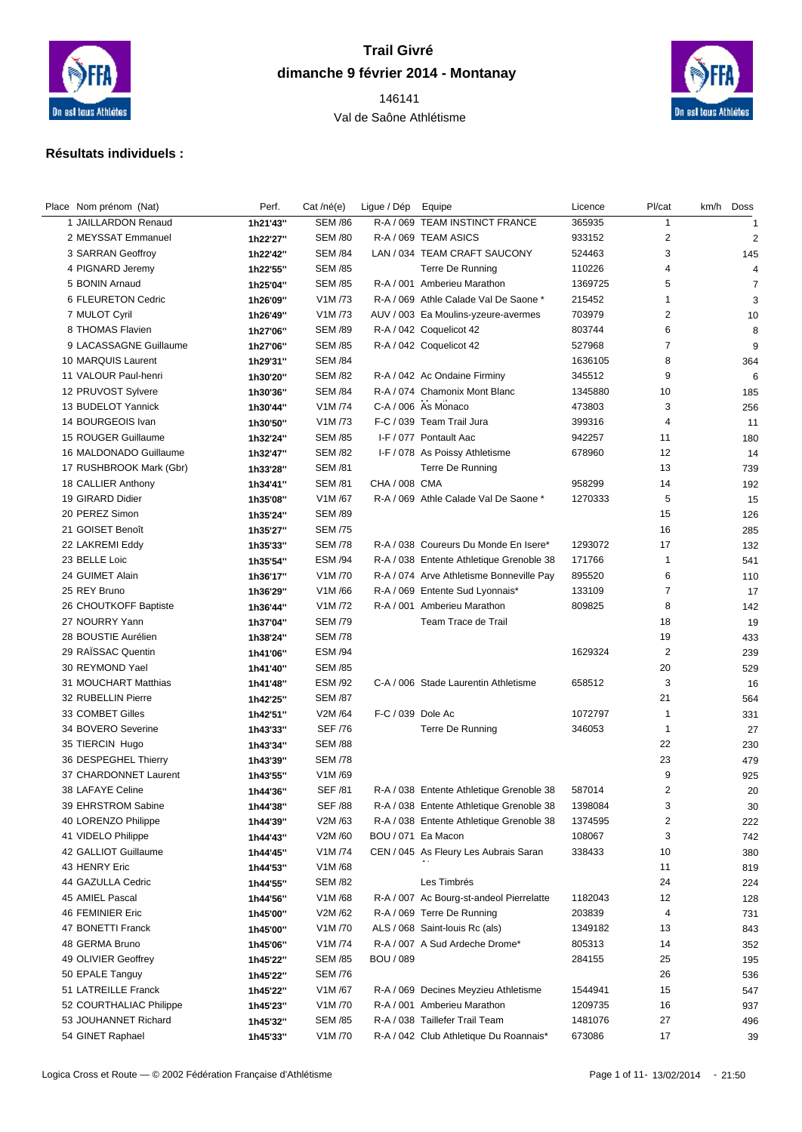

## **Trail Givré dimanche 9 février 2014 - Montanay**

 Val de Saône Athlétisme



## **Résultats individuels :**

| Place Nom prénom (Nat)  | Perf.    | Cat /né(e)                      | Ligue / Dép Equipe |                                          | Licence | Pl/cat         | km/h Doss      |
|-------------------------|----------|---------------------------------|--------------------|------------------------------------------|---------|----------------|----------------|
| 1 JAILLARDON Renaud     | 1h21'43" | <b>SEM /86</b>                  |                    | R-A / 069 TEAM INSTINCT FRANCE           | 365935  | $\mathbf{1}$   | $\overline{1}$ |
| 2 MEYSSAT Emmanuel      | 1h22'27" | <b>SEM /80</b>                  |                    | R-A / 069 TEAM ASICS                     | 933152  | $\overline{2}$ | $\overline{2}$ |
| 3 SARRAN Geoffroy       | 1h22'42" | <b>SEM /84</b>                  |                    | LAN / 034 TEAM CRAFT SAUCONY             | 524463  | 3              | 145            |
| 4 PIGNARD Jeremy        | 1h22'55" | <b>SEM /85</b>                  |                    | Terre De Running                         | 110226  | $\overline{4}$ | 4              |
| 5 BONIN Arnaud          | 1h25'04" | <b>SEM /85</b>                  |                    | R-A / 001 Amberieu Marathon              | 1369725 | 5              | $\overline{7}$ |
| 6 FLEURETON Cedric      | 1h26'09" | V1M/73                          |                    | R-A / 069 Athle Calade Val De Saone *    | 215452  | $\mathbf{1}$   | 3              |
| 7 MULOT Cyril           | 1h26'49" | V1M /73                         |                    | AUV / 003 Ea Moulins-yzeure-avermes      | 703979  | $\overline{2}$ | 10             |
| 8 THOMAS Flavien        | 1h27'06" | <b>SEM /89</b>                  |                    | R-A / 042 Coquelicot 42                  | 803744  | 6              | 8              |
| 9 LACASSAGNE Guillaume  | 1h27'06" | <b>SEM /85</b>                  |                    | R-A / 042 Coquelicot 42                  | 527968  | $\overline{7}$ | 9              |
| 10 MARQUIS Laurent      | 1h29'31" | <b>SEM /84</b>                  |                    |                                          | 1636105 | 8              | 364            |
| 11 VALOUR Paul-henri    | 1h30'20" | <b>SEM /82</b>                  |                    | R-A / 042 Ac Ondaine Firminy             | 345512  | 9              | 6              |
| 12 PRUVOST Sylvere      | 1h30'36" | <b>SEM /84</b>                  |                    | R-A / 074 Chamonix Mont Blanc            | 1345880 | 10             | 185            |
| 13 BUDELOT Yannick      | 1h30'44" | V1M /74                         |                    | C-A / 006 As Monaco                      | 473803  | 3              | 256            |
| 14 BOURGEOIS Ivan       | 1h30'50" | V <sub>1</sub> M <sub>/73</sub> |                    | F-C / 039 Team Trail Jura                | 399316  | $\overline{4}$ | 11             |
| 15 ROUGER Guillaume     | 1h32'24" | <b>SEM /85</b>                  |                    | I-F / 077 Pontault Aac                   | 942257  | 11             | 180            |
| 16 MALDONADO Guillaume  | 1h32'47" | <b>SEM /82</b>                  |                    | I-F / 078 As Poissy Athletisme           | 678960  | 12             | 14             |
| 17 RUSHBROOK Mark (Gbr) | 1h33'28" | <b>SEM /81</b>                  |                    | Terre De Running                         |         | 13             | 739            |
| 18 CALLIER Anthony      | 1h34'41" | <b>SEM /81</b>                  | CHA / 008 CMA      |                                          | 958299  | 14             | 192            |
| 19 GIRARD Didier        | 1h35'08" | V1M/67                          |                    | R-A / 069 Athle Calade Val De Saone *    | 1270333 | 5              | 15             |
| 20 PEREZ Simon          | 1h35'24" | <b>SEM /89</b>                  |                    |                                          |         | 15             | 126            |
| 21 GOISET Benoît        | 1h35'27" | <b>SEM /75</b>                  |                    |                                          |         | 16             | 285            |
| 22 LAKREMI Eddy         | 1h35'33" | <b>SEM /78</b>                  |                    | R-A / 038 Coureurs Du Monde En Isere*    | 1293072 | 17             | 132            |
| 23 BELLE Loic           | 1h35'54" | <b>ESM /94</b>                  |                    | R-A / 038 Entente Athletique Grenoble 38 | 171766  | $\mathbf{1}$   | 541            |
| 24 GUIMET Alain         | 1h36'17" | V <sub>1</sub> M <sub>/70</sub> |                    | R-A / 074 Arve Athletisme Bonneville Pay | 895520  | 6              | 110            |
| 25 REY Bruno            | 1h36'29" | V1M/66                          |                    | R-A / 069 Entente Sud Lyonnais*          | 133109  | $\overline{7}$ | 17             |
| 26 CHOUTKOFF Baptiste   | 1h36'44" | V1M/72                          |                    | R-A / 001 Amberieu Marathon              | 809825  | 8              | 142            |
| 27 NOURRY Yann          | 1h37'04" | <b>SEM /79</b>                  |                    | Team Trace de Trail                      |         | 18             | 19             |
| 28 BOUSTIE Aurélien     | 1h38'24" | <b>SEM /78</b>                  |                    |                                          |         | 19             | 433            |
| 29 RAISSAC Quentin      | 1h41'06" | <b>ESM /94</b>                  |                    |                                          | 1629324 | $\overline{2}$ | 239            |
| 30 REYMOND Yael         | 1h41'40" | <b>SEM /85</b>                  |                    |                                          |         | 20             | 529            |
| 31 MOUCHART Matthias    | 1h41'48" | <b>ESM /92</b>                  |                    | C-A / 006 Stade Laurentin Athletisme     | 658512  | 3              | 16             |
| 32 RUBELLIN Pierre      | 1h42'25" | <b>SEM /87</b>                  |                    |                                          |         | 21             | 564            |
| 33 COMBET Gilles        | 1h42'51" | V2M /64                         | F-C / 039 Dole Ac  |                                          | 1072797 | $\overline{1}$ | 331            |
| 34 BOVERO Severine      | 1h43'33" | <b>SEF /76</b>                  |                    | Terre De Running                         | 346053  | $\mathbf{1}$   | 27             |
| 35 TIERCIN Hugo         | 1h43'34" | <b>SEM /88</b>                  |                    |                                          |         | 22             | 230            |
| 36 DESPEGHEL Thierry    | 1h43'39" | <b>SEM /78</b>                  |                    |                                          |         | 23             | 479            |
| 37 CHARDONNET Laurent   | 1h43'55" | V1M/69                          |                    |                                          |         | 9              | 925            |
| 38 LAFAYE Celine        | 1h44'36" | <b>SEF /81</b>                  |                    | R-A / 038 Entente Athletique Grenoble 38 | 587014  | 2              | 20             |
| 39 EHRSTROM Sabine      | 1h44'38" | <b>SEF /88</b>                  |                    | R-A / 038 Entente Athletique Grenoble 38 | 1398084 | 3              | $30\,$         |
| 40 LORENZO Philippe     | 1h44'39" | V2M /63                         |                    | R-A / 038 Entente Athletique Grenoble 38 | 1374595 | 2              | 222            |
| 41 VIDELO Philippe      | 1h44'43" | V2M /60                         | BOU / 071 Ea Macon |                                          | 108067  | 3              | 742            |
| 42 GALLIOT Guillaume    | 1h44'45" | V1M /74                         |                    | CEN / 045 As Fleury Les Aubrais Saran    | 338433  | 10             | 380            |
| 43 HENRY Eric           | 1h44'53" | V1M/68                          |                    |                                          |         | 11             | 819            |
| 44 GAZULLA Cedric       |          | <b>SEM /82</b>                  |                    | Les Timbrés                              |         | 24             |                |
| 45 AMIEL Pascal         | 1h44'55" | V1M/68                          |                    | R-A / 007 Ac Bourg-st-andeol Pierrelatte | 1182043 | 12             | 224            |
| 46 FEMINIER Eric        | 1h44'56" | V2M/62                          |                    | R-A / 069 Terre De Running               | 203839  | 4              | 128            |
| 47 BONETTI Franck       | 1h45'00" | V1M /70                         |                    | ALS / 068 Saint-louis Rc (als)           | 1349182 |                | 731            |
| 48 GERMA Bruno          | 1h45'00" | V1M /74                         |                    |                                          |         | 13             | 843            |
|                         | 1h45'06" |                                 |                    | R-A / 007 A Sud Ardeche Drome*           | 805313  | 14             | 352            |
| 49 OLIVIER Geoffrey     | 1h45'22" | <b>SEM /85</b>                  | <b>BOU</b> / 089   |                                          | 284155  | 25             | 195            |
| 50 EPALE Tanguy         | 1h45'22" | <b>SEM /76</b>                  |                    |                                          |         | 26             | 536            |
| 51 LATREILLE Franck     | 1h45'22" | V1M/67                          |                    | R-A / 069 Decines Meyzieu Athletisme     | 1544941 | 15             | 547            |
| 52 COURTHALIAC Philippe | 1h45'23" | V1M /70                         |                    | R-A / 001 Amberieu Marathon              | 1209735 | 16             | 937            |
| 53 JOUHANNET Richard    | 1h45'32" | <b>SEM /85</b>                  |                    | R-A / 038 Taillefer Trail Team           | 1481076 | 27             | 496            |
| 54 GINET Raphael        | 1h45'33" | V1M /70                         |                    | R-A / 042 Club Athletique Du Roannais*   | 673086  | 17             | 39             |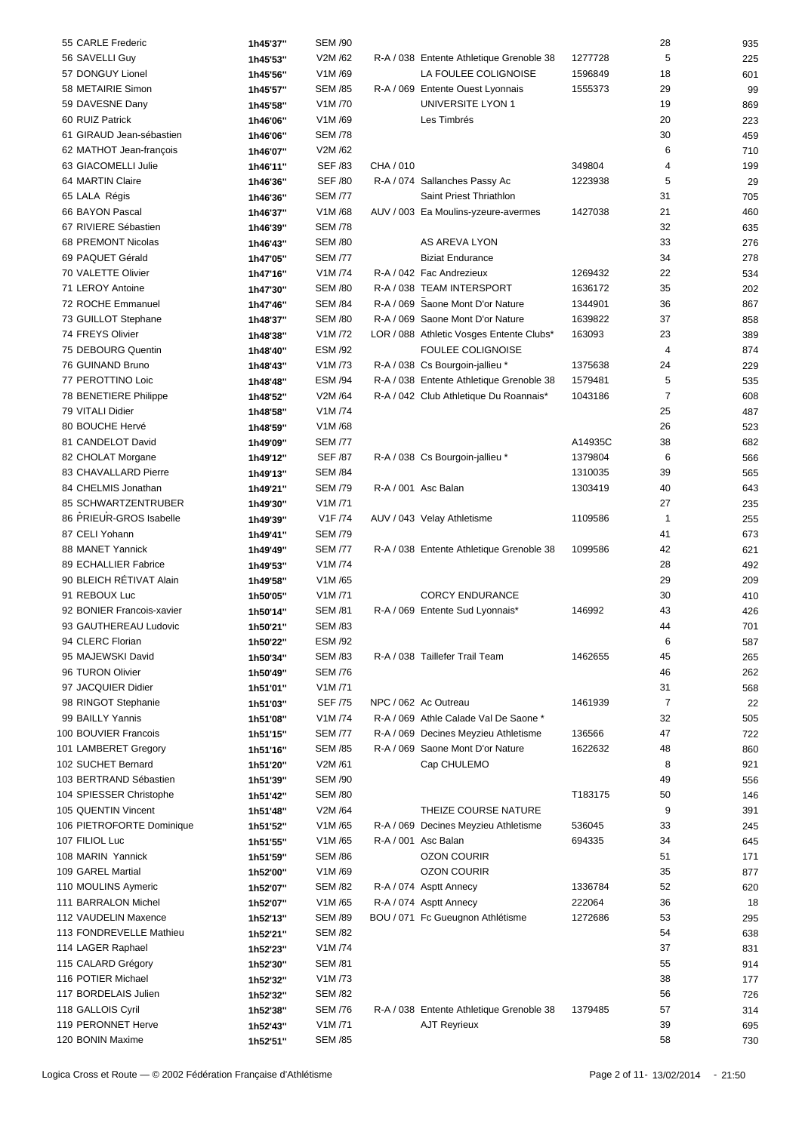| 55 CARLE Frederic         | 1h45'37" | <b>SEM /90</b> |                     |                                          |         | 28             | 935 |
|---------------------------|----------|----------------|---------------------|------------------------------------------|---------|----------------|-----|
| 56 SAVELLI Guy            | 1h45'53" | V2M/62         |                     | R-A / 038 Entente Athletique Grenoble 38 | 1277728 | 5              | 225 |
| 57 DONGUY Lionel          | 1h45'56" | V1M/69         |                     | LA FOULEE COLIGNOISE                     | 1596849 | 18             | 601 |
| 58 METAIRIE Simon         |          | <b>SEM /85</b> |                     | R-A / 069 Entente Ouest Lyonnais         | 1555373 | 29             | 99  |
|                           | 1h45'57" |                |                     |                                          |         |                |     |
| 59 DAVESNE Dany           | 1h45'58" | V1M/70         |                     | UNIVERSITE LYON 1                        |         | 19             | 869 |
| 60 RUIZ Patrick           | 1h46'06" | V1M/69         |                     | Les Timbrés                              |         | 20             | 223 |
| 61 GIRAUD Jean-sébastien  | 1h46'06" | <b>SEM /78</b> |                     |                                          |         | 30             | 459 |
| 62 MATHOT Jean-françois   | 1h46'07" | V2M/62         |                     |                                          |         | 6              | 710 |
| 63 GIACOMELLI Julie       | 1h46'11" | <b>SEF /83</b> | CHA / 010           |                                          | 349804  | 4              | 199 |
| 64 MARTIN Claire          | 1h46'36" | <b>SEF /80</b> |                     | R-A / 074 Sallanches Passy Ac            | 1223938 | 5              | 29  |
| 65 LALA Régis             | 1h46'36" | <b>SEM /77</b> |                     | Saint Priest Thriathlon                  |         | 31             | 705 |
| 66 BAYON Pascal           | 1h46'37" | V1M/68         |                     | AUV / 003 Ea Moulins-yzeure-avermes      | 1427038 | 21             | 460 |
| 67 RIVIERE Sébastien      | 1h46'39" | <b>SEM /78</b> |                     |                                          |         | 32             | 635 |
| 68 PREMONT Nicolas        |          | <b>SEM /80</b> |                     | AS AREVA LYON                            |         | 33             |     |
|                           | 1h46'43" |                |                     |                                          |         |                | 276 |
| 69 PAQUET Gérald          | 1h47'05" | <b>SEM /77</b> |                     | <b>Biziat Endurance</b>                  |         | 34             | 278 |
| 70 VALETTE Olivier        | 1h47'16" | V1M/74         |                     | R-A / 042 Fac Andrezieux                 | 1269432 | 22             | 534 |
| 71 LEROY Antoine          | 1h47'30" | <b>SEM /80</b> |                     | R-A / 038 TEAM INTERSPORT                | 1636172 | 35             | 202 |
| 72 ROCHE Emmanuel         | 1h47'46" | <b>SEM /84</b> |                     | R-A / 069 Saone Mont D'or Nature         | 1344901 | 36             | 867 |
| 73 GUILLOT Stephane       | 1h48'37" | <b>SEM /80</b> |                     | R-A / 069 Saone Mont D'or Nature         | 1639822 | 37             | 858 |
| 74 FREYS Olivier          | 1h48'38" | V1M/72         |                     | LOR / 088 Athletic Vosges Entente Clubs* | 163093  | 23             | 389 |
| 75 DEBOURG Quentin        | 1h48'40" | <b>ESM /92</b> |                     | <b>FOULEE COLIGNOISE</b>                 |         | 4              | 874 |
| 76 GUINAND Bruno          | 1h48'43" | V1M/73         |                     | R-A / 038 Cs Bourgoin-jallieu *          | 1375638 | 24             | 229 |
| 77 PEROTTINO Loic         |          | <b>ESM /94</b> |                     | R-A / 038 Entente Athletique Grenoble 38 | 1579481 | 5              | 535 |
|                           | 1h48'48" |                |                     |                                          |         |                |     |
| 78 BENETIERE Philippe     | 1h48'52" | V2M /64        |                     | R-A / 042 Club Athletique Du Roannais*   | 1043186 | $\overline{7}$ | 608 |
| 79 VITALI Didier          | 1h48'58" | V1M /74        |                     |                                          |         | 25             | 487 |
| 80 BOUCHE Hervé           | 1h48'59" | V1M/68         |                     |                                          |         | 26             | 523 |
| 81 CANDELOT David         | 1h49'09" | <b>SEM /77</b> |                     |                                          | A14935C | 38             | 682 |
| 82 CHOLAT Morgane         | 1h49'12" | <b>SEF /87</b> |                     | R-A / 038 Cs Bourgoin-jallieu *          | 1379804 | 6              | 566 |
| 83 CHAVALLARD Pierre      | 1h49'13" | <b>SEM /84</b> |                     |                                          | 1310035 | 39             | 565 |
| 84 CHELMIS Jonathan       | 1h49'21" | <b>SEM /79</b> | R-A / 001 Asc Balan |                                          | 1303419 | 40             | 643 |
| 85 SCHWARTZENTRUBER       | 1h49'30" | V1M/71         |                     |                                          |         | 27             | 235 |
| 86 PRIEUR-GROS Isabelle   | 1h49'39" | V1F /74        |                     | AUV / 043 Velay Athletisme               | 1109586 | $\mathbf{1}$   | 255 |
|                           |          |                |                     |                                          |         |                |     |
| 87 CELI Yohann            | 1h49'41" | <b>SEM /79</b> |                     |                                          |         | 41             | 673 |
| 88 MANET Yannick          | 1h49'49" | <b>SEM /77</b> |                     | R-A / 038 Entente Athletique Grenoble 38 | 1099586 | 42             | 621 |
| 89 ECHALLIER Fabrice      | 1h49'53" | V1M /74        |                     |                                          |         | 28             | 492 |
| 90 BLEICH RÉTIVAT Alain   | 1h49'58" | V1M/65         |                     |                                          |         | 29             | 209 |
| 91 REBOUX Luc             | 1h50'05" | V1M/71         |                     | <b>CORCY ENDURANCE</b>                   |         | 30             | 410 |
| 92 BONIER Francois-xavier | 1h50'14" | <b>SEM /81</b> |                     | R-A / 069 Entente Sud Lyonnais*          | 146992  | 43             | 426 |
| 93 GAUTHEREAU Ludovic     | 1h50'21" | <b>SEM /83</b> |                     |                                          |         | 44             | 701 |
| 94 CLERC Florian          | 1h50'22" | <b>ESM /92</b> |                     |                                          |         | 6              | 587 |
| 95 MAJEWSKI David         | 1h50'34" | <b>SEM /83</b> |                     | R-A / 038 Taillefer Trail Team           | 1462655 | 45             | 265 |
| 96 TURON Olivier          |          |                |                     |                                          |         | 46             |     |
|                           | 1h50'49" | <b>SEM /76</b> |                     |                                          |         |                | 262 |
| 97 JACQUIER Didier        | 1h51'01" | V1M/71         |                     |                                          |         | 31             | 568 |
| 98 RINGOT Stephanie       | 1h51'03" | <b>SEF /75</b> |                     | NPC / 062 Ac Outreau                     | 1461939 | 7              | 22  |
| 99 BAILLY Yannis          | 1h51'08" | V1M /74        |                     | R-A / 069 Athle Calade Val De Saone *    |         | 32             | 505 |
| 100 BOUVIER Francois      | 1h51'15" | <b>SEM /77</b> |                     | R-A / 069 Decines Meyzieu Athletisme     | 136566  | 47             | 722 |
| 101 LAMBERET Gregory      | 1h51'16" | <b>SEM /85</b> |                     | R-A / 069 Saone Mont D'or Nature         | 1622632 | 48             | 860 |
| 102 SUCHET Bernard        | 1h51'20" | V2M /61        |                     | Cap CHULEMO                              |         | 8              | 921 |
| 103 BERTRAND Sébastien    | 1h51'39" | <b>SEM /90</b> |                     |                                          |         | 49             | 556 |
| 104 SPIESSER Christophe   | 1h51'42" | <b>SEM /80</b> |                     |                                          | T183175 | 50             | 146 |
| 105 QUENTIN Vincent       |          | V2M /64        |                     | THEIZE COURSE NATURE                     |         | 9              | 391 |
|                           | 1h51'48" |                |                     |                                          |         |                |     |
| 106 PIETROFORTE Dominique | 1h51'52" | V1M/65         |                     | R-A / 069 Decines Meyzieu Athletisme     | 536045  | 33             | 245 |
| 107 FILIOL Luc            | 1h51'55" | V1M/65         |                     | R-A / 001 Asc Balan                      | 694335  | 34             | 645 |
| 108 MARIN Yannick         | 1h51'59" | <b>SEM /86</b> |                     | <b>OZON COURIR</b>                       |         | 51             | 171 |
| 109 GAREL Martial         | 1h52'00" | V1M/69         |                     | <b>OZON COURIR</b>                       |         | 35             | 877 |
| 110 MOULINS Aymeric       | 1h52'07" | <b>SEM /82</b> |                     | R-A / 074 Asptt Annecy                   | 1336784 | 52             | 620 |
| 111 BARRALON Michel       | 1h52'07" | V1M/65         |                     | R-A / 074 Asptt Annecy                   | 222064  | 36             | 18  |
| 112 VAUDELIN Maxence      | 1h52'13" | <b>SEM /89</b> |                     | BOU / 071 Fc Gueugnon Athlétisme         | 1272686 | 53             | 295 |
| 113 FONDREVELLE Mathieu   | 1h52'21" | <b>SEM /82</b> |                     |                                          |         | 54             | 638 |
| 114 LAGER Raphael         |          | V1M /74        |                     |                                          |         | 37             |     |
|                           | 1h52'23" |                |                     |                                          |         |                | 831 |
| 115 CALARD Grégory        | 1h52'30" | <b>SEM /81</b> |                     |                                          |         | 55             | 914 |
| 116 POTIER Michael        | 1h52'32" | V1M /73        |                     |                                          |         | 38             | 177 |
| 117 BORDELAIS Julien      | 1h52'32" | <b>SEM /82</b> |                     |                                          |         | 56             | 726 |
| 118 GALLOIS Cyril         | 1h52'38" | <b>SEM /76</b> |                     | R-A / 038 Entente Athletique Grenoble 38 | 1379485 | 57             | 314 |
| 119 PERONNET Herve        | 1h52'43" | V1M/71         |                     | <b>AJT Reyrieux</b>                      |         | 39             | 695 |
| 120 BONIN Maxime          | 1h52'51" | <b>SEM /85</b> |                     |                                          |         | 58             | 730 |
|                           |          |                |                     |                                          |         |                |     |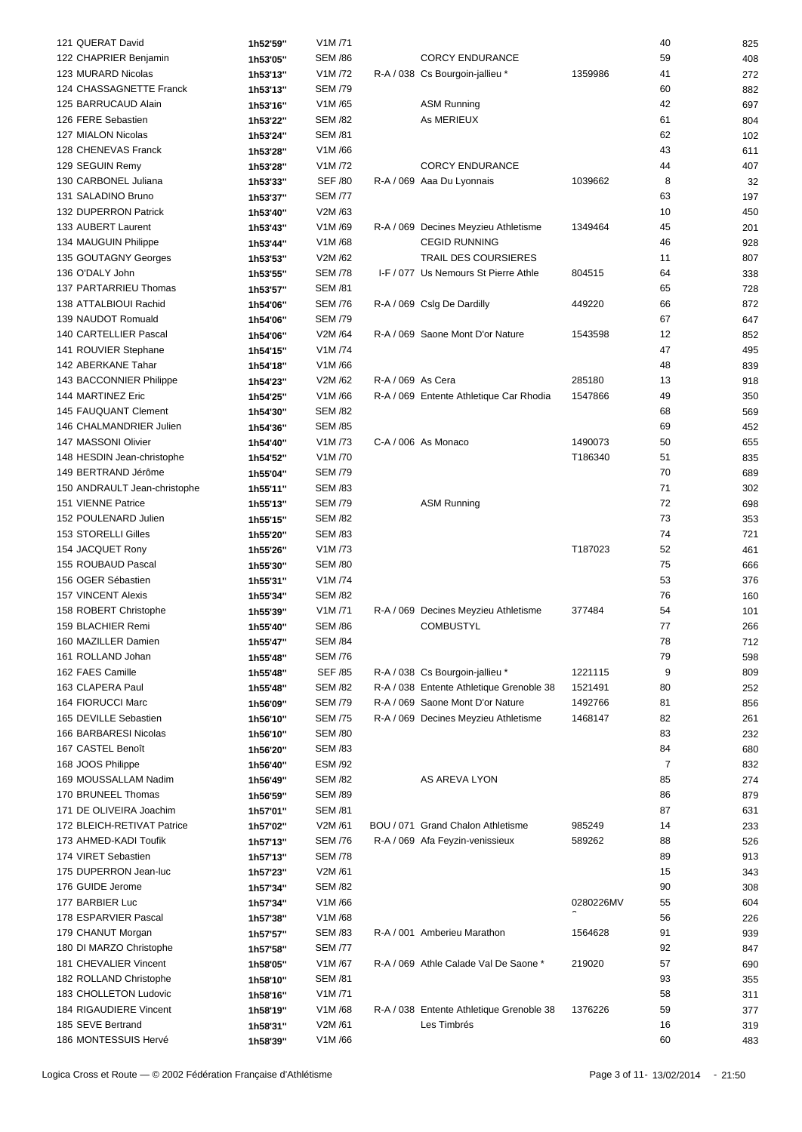| 121 QUERAT David             | 1h52'59" | V1M/71                          |                   |                                          |           | 40             | 825 |
|------------------------------|----------|---------------------------------|-------------------|------------------------------------------|-----------|----------------|-----|
| 122 CHAPRIER Benjamin        | 1h53'05" | <b>SEM /86</b>                  |                   | <b>CORCY ENDURANCE</b>                   |           | 59             | 408 |
| 123 MURARD Nicolas           | 1h53'13" | V1M /72                         |                   | R-A / 038 Cs Bourgoin-jallieu *          | 1359986   | 41             | 272 |
| 124 CHASSAGNETTE Franck      | 1h53'13" | <b>SEM /79</b>                  |                   |                                          |           | 60             | 882 |
| 125 BARRUCAUD Alain          |          | V1M /65                         |                   | <b>ASM Running</b>                       |           | 42             |     |
|                              | 1h53'16" |                                 |                   |                                          |           |                | 697 |
| 126 FERE Sebastien           | 1h53'22" | <b>SEM /82</b>                  |                   | As MERIEUX                               |           | 61             | 804 |
| 127 MIALON Nicolas           | 1h53'24" | <b>SEM /81</b>                  |                   |                                          |           | 62             | 102 |
| 128 CHENEVAS Franck          | 1h53'28" | V1M/66                          |                   |                                          |           | 43             | 611 |
| 129 SEGUIN Remy              | 1h53'28" | V1M /72                         |                   | <b>CORCY ENDURANCE</b>                   |           | 44             | 407 |
| 130 CARBONEL Juliana         | 1h53'33" | <b>SEF /80</b>                  |                   | R-A / 069 Aaa Du Lyonnais                | 1039662   | 8              | 32  |
| 131 SALADINO Bruno           | 1h53'37" | <b>SEM /77</b>                  |                   |                                          |           | 63             | 197 |
| 132 DUPERRON Patrick         | 1h53'40" | V2M /63                         |                   |                                          |           | 10             | 450 |
| 133 AUBERT Laurent           | 1h53'43" | V1M/69                          |                   | R-A / 069 Decines Meyzieu Athletisme     | 1349464   | 45             | 201 |
| 134 MAUGUIN Philippe         | 1h53'44" | V1M/68                          |                   | <b>CEGID RUNNING</b>                     |           | 46             | 928 |
| 135 GOUTAGNY Georges         | 1h53'53" | V2M /62                         |                   | TRAIL DES COURSIERES                     |           | 11             | 807 |
| 136 O'DALY John              |          | <b>SEM /78</b>                  |                   | I-F / 077 Us Nemours St Pierre Athle     | 804515    | 64             | 338 |
|                              | 1h53'55" |                                 |                   |                                          |           |                |     |
| 137 PARTARRIEU Thomas        | 1h53'57" | <b>SEM /81</b>                  |                   |                                          |           | 65             | 728 |
| 138 ATTALBIOUI Rachid        | 1h54'06" | <b>SEM /76</b>                  |                   | R-A / 069 Cslg De Dardilly               | 449220    | 66             | 872 |
| 139 NAUDOT Romuald           | 1h54'06" | <b>SEM /79</b>                  |                   |                                          |           | 67             | 647 |
| 140 CARTELLIER Pascal        | 1h54'06" | V2M /64                         |                   | R-A / 069 Saone Mont D'or Nature         | 1543598   | 12             | 852 |
| 141 ROUVIER Stephane         | 1h54'15" | V1M /74                         |                   |                                          |           | 47             | 495 |
| 142 ABERKANE Tahar           | 1h54'18" | V1M/66                          |                   |                                          |           | 48             | 839 |
| 143 BACCONNIER Philippe      | 1h54'23" | V2M /62                         | R-A / 069 As Cera |                                          | 285180    | 13             | 918 |
| 144 MARTINEZ Eric            | 1h54'25" | V1M/66                          |                   | R-A / 069 Entente Athletique Car Rhodia  | 1547866   | 49             | 350 |
| 145 FAUQUANT Clement         | 1h54'30" | <b>SEM /82</b>                  |                   |                                          |           | 68             | 569 |
| 146 CHALMANDRIER Julien      |          |                                 |                   |                                          |           |                |     |
|                              | 1h54'36" | <b>SEM /85</b>                  |                   |                                          |           | 69             | 452 |
| 147 MASSONI Olivier          | 1h54'40" | V <sub>1</sub> M <sub>/73</sub> |                   | C-A / 006 As Monaco                      | 1490073   | 50             | 655 |
| 148 HESDIN Jean-christophe   | 1h54'52" | V <sub>1</sub> M <sub>/70</sub> |                   |                                          | T186340   | 51             | 835 |
| 149 BERTRAND Jérôme          | 1h55'04" | <b>SEM /79</b>                  |                   |                                          |           | 70             | 689 |
| 150 ANDRAULT Jean-christophe | 1h55'11" | <b>SEM /83</b>                  |                   |                                          |           | 71             | 302 |
| 151 VIENNE Patrice           | 1h55'13" | <b>SEM /79</b>                  |                   | <b>ASM Running</b>                       |           | 72             | 698 |
| 152 POULENARD Julien         | 1h55'15" | <b>SEM /82</b>                  |                   |                                          |           | 73             | 353 |
| 153 STORELLI Gilles          | 1h55'20" | <b>SEM /83</b>                  |                   |                                          |           | 74             | 721 |
| 154 JACQUET Rony             | 1h55'26" | V1M /73                         |                   |                                          | T187023   | 52             | 461 |
| 155 ROUBAUD Pascal           | 1h55'30" | <b>SEM /80</b>                  |                   |                                          |           | 75             | 666 |
| 156 OGER Sébastien           | 1h55'31" | V1M /74                         |                   |                                          |           | 53             | 376 |
|                              |          |                                 |                   |                                          |           | 76             |     |
| 157 VINCENT Alexis           | 1h55'34" | <b>SEM /82</b>                  |                   |                                          |           |                | 160 |
| 158 ROBERT Christophe        | 1h55'39" | V1M/71                          |                   | R-A / 069 Decines Meyzieu Athletisme     | 377484    | 54             | 101 |
| 159 BLACHIER Remi            | 1h55'40" | <b>SEM /86</b>                  |                   | <b>COMBUSTYL</b>                         |           | 77             | 266 |
| 160 MAZILLER Damien          | 1h55'47" | <b>SEM /84</b>                  |                   |                                          |           | 78             | 712 |
| 161 ROLLAND Johan            | 1h55'48" | <b>SEM /76</b>                  |                   |                                          |           | 79             | 598 |
| 162 FAES Camille             | 1h55'48" | <b>SEF /85</b>                  |                   | R-A / 038 Cs Bourgoin-jallieu *          | 1221115   | 9              | 809 |
| 163 CLAPERA Paul             | 1h55'48" | <b>SEM /82</b>                  |                   | R-A / 038 Entente Athletique Grenoble 38 | 1521491   | 80             | 252 |
| 164 FIORUCCI Marc            | 1h56'09" | <b>SEM /79</b>                  |                   | R-A / 069 Saone Mont D'or Nature         | 1492766   | 81             | 856 |
| 165 DEVILLE Sebastien        | 1h56'10" | <b>SEM /75</b>                  |                   | R-A / 069 Decines Meyzieu Athletisme     | 1468147   | 82             | 261 |
| 166 BARBARESI Nicolas        | 1h56'10" | <b>SEM /80</b>                  |                   |                                          |           | 83             | 232 |
| 167 CASTEL Benoît            |          | <b>SEM /83</b>                  |                   |                                          |           | 84             |     |
|                              | 1h56'20" |                                 |                   |                                          |           |                | 680 |
| 168 JOOS Philippe            | 1h56'40" | <b>ESM /92</b>                  |                   |                                          |           | $\overline{7}$ | 832 |
| 169 MOUSSALLAM Nadim         | 1h56'49" | <b>SEM /82</b>                  |                   | AS AREVA LYON                            |           | 85             | 274 |
| 170 BRUNEEL Thomas           | 1h56'59" | <b>SEM /89</b>                  |                   |                                          |           | 86             | 879 |
| 171 DE OLIVEIRA Joachim      | 1h57'01" | <b>SEM /81</b>                  |                   |                                          |           | 87             | 631 |
| 172 BLEICH-RETIVAT Patrice   | 1h57'02" | V2M /61                         |                   | BOU / 071 Grand Chalon Athletisme        | 985249    | 14             | 233 |
| 173 AHMED-KADI Toufik        | 1h57'13" | <b>SEM /76</b>                  |                   | R-A / 069 Afa Feyzin-venissieux          | 589262    | 88             | 526 |
| 174 VIRET Sebastien          | 1h57'13" | <b>SEM /78</b>                  |                   |                                          |           | 89             | 913 |
| 175 DUPERRON Jean-luc        | 1h57'23" | V2M /61                         |                   |                                          |           | 15             | 343 |
| 176 GUIDE Jerome             | 1h57'34" | <b>SEM /82</b>                  |                   |                                          |           | 90             | 308 |
| 177 BARBIER Luc              | 1h57'34" | V1M/66                          |                   |                                          | 0280226MV | 55             | 604 |
|                              |          |                                 |                   |                                          |           |                |     |
| 178 ESPARVIER Pascal         | 1h57'38" | V1M/68                          |                   |                                          |           | 56             | 226 |
| 179 CHANUT Morgan            | 1h57'57" | <b>SEM /83</b>                  |                   | R-A / 001 Amberieu Marathon              | 1564628   | 91             | 939 |
| 180 DI MARZO Christophe      | 1h57'58" | <b>SEM /77</b>                  |                   |                                          |           | 92             | 847 |
| 181 CHEVALIER Vincent        | 1h58'05" | V1M/67                          |                   | R-A / 069 Athle Calade Val De Saone *    | 219020    | 57             | 690 |
| 182 ROLLAND Christophe       | 1h58'10" | <b>SEM /81</b>                  |                   |                                          |           | 93             | 355 |
| 183 CHOLLETON Ludovic        | 1h58'16" | V1M/71                          |                   |                                          |           | 58             | 311 |
| 184 RIGAUDIERE Vincent       | 1h58'19" | V1M/68                          |                   | R-A / 038 Entente Athletique Grenoble 38 | 1376226   | 59             | 377 |
| 185 SEVE Bertrand            | 1h58'31" | V2M/61                          |                   | Les Timbrés                              |           | 16             | 319 |
| 186 MONTESSUIS Hervé         | 1h58'39" | V1M/66                          |                   |                                          |           | 60             | 483 |
|                              |          |                                 |                   |                                          |           |                |     |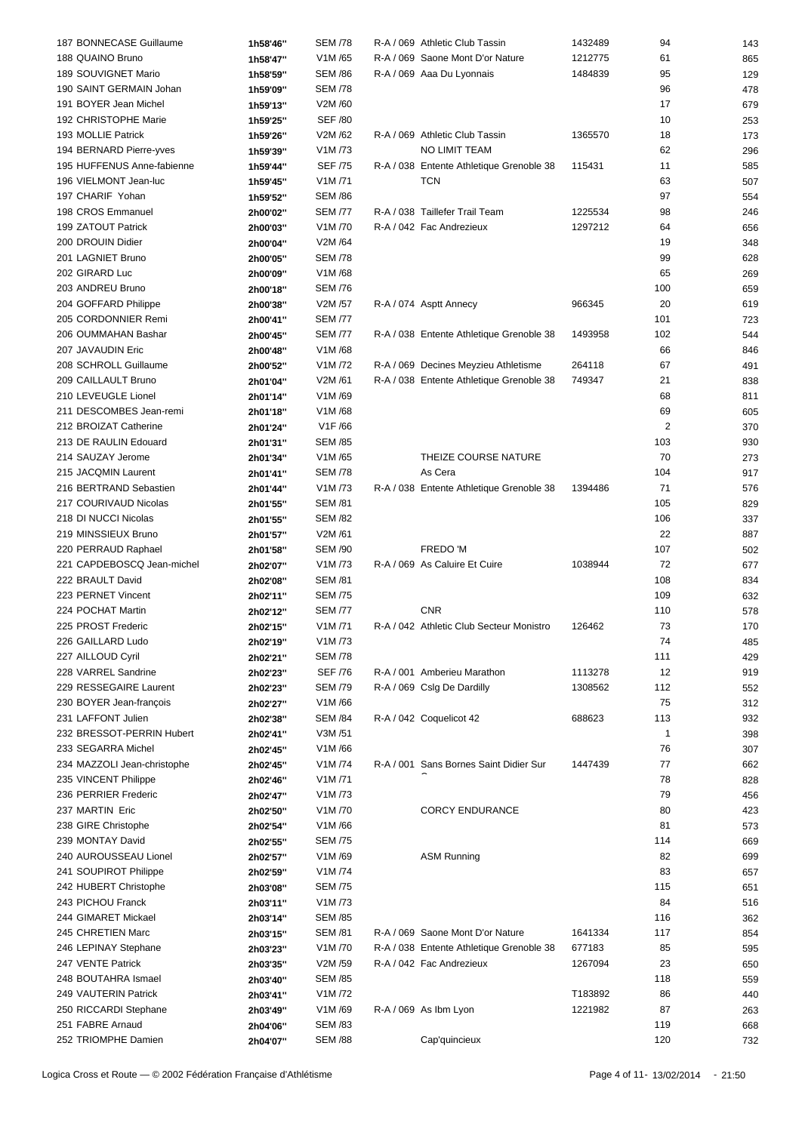| 187 BONNECASE Guillaume     | 1h58'46" | <b>SEM /78</b> | R-A / 069 Athletic Club Tassin           | 1432489 | 94             | 143 |
|-----------------------------|----------|----------------|------------------------------------------|---------|----------------|-----|
| 188 QUAINO Bruno            | 1h58'47" | V1M/65         | R-A / 069 Saone Mont D'or Nature         | 1212775 | 61             | 865 |
| 189 SOUVIGNET Mario         | 1h58'59" | <b>SEM /86</b> | R-A / 069 Aaa Du Lyonnais                | 1484839 | 95             | 129 |
|                             |          |                |                                          |         |                |     |
| 190 SAINT GERMAIN Johan     | 1h59'09" | <b>SEM /78</b> |                                          |         | 96             | 478 |
| 191 BOYER Jean Michel       | 1h59'13" | V2M /60        |                                          |         | 17             | 679 |
| 192 CHRISTOPHE Marie        | 1h59'25" | <b>SEF /80</b> |                                          |         | 10             | 253 |
| 193 MOLLIE Patrick          | 1h59'26" | V2M /62        | R-A / 069 Athletic Club Tassin           | 1365570 | 18             | 173 |
| 194 BERNARD Pierre-yves     | 1h59'39" | V1M /73        | NO LIMIT TEAM                            |         | 62             | 296 |
| 195 HUFFENUS Anne-fabienne  | 1h59'44" | <b>SEF /75</b> | R-A / 038 Entente Athletique Grenoble 38 | 115431  | 11             | 585 |
| 196 VIELMONT Jean-luc       | 1h59'45" | V1M/71         | <b>TCN</b>                               |         | 63             | 507 |
| 197 CHARIF Yohan            | 1h59'52" | <b>SEM /86</b> |                                          |         | 97             | 554 |
| 198 CROS Emmanuel           | 2h00'02" | <b>SEM /77</b> | R-A / 038 Taillefer Trail Team           | 1225534 | 98             | 246 |
|                             |          |                |                                          |         |                |     |
| 199 ZATOUT Patrick          | 2h00'03" | V1M/70         | R-A / 042 Fac Andrezieux                 | 1297212 | 64             | 656 |
| 200 DROUIN Didier           | 2h00'04" | V2M /64        |                                          |         | 19             | 348 |
| 201 LAGNIET Bruno           | 2h00'05" | <b>SEM /78</b> |                                          |         | 99             | 628 |
| 202 GIRARD Luc              | 2h00'09" | V1M/68         |                                          |         | 65             | 269 |
| 203 ANDREU Bruno            | 2h00'18" | <b>SEM /76</b> |                                          |         | 100            | 659 |
| 204 GOFFARD Philippe        | 2h00'38" | V2M /57        | R-A / 074 Asptt Annecy                   | 966345  | 20             | 619 |
| 205 CORDONNIER Remi         | 2h00'41" | <b>SEM /77</b> |                                          |         | 101            | 723 |
| 206 OUMMAHAN Bashar         | 2h00'45" | <b>SEM /77</b> | R-A / 038 Entente Athletique Grenoble 38 | 1493958 | 102            | 544 |
| 207 JAVAUDIN Eric           | 2h00'48" | V1M/68         |                                          |         | 66             | 846 |
| 208 SCHROLL Guillaume       | 2h00'52" | V1M /72        | R-A / 069 Decines Meyzieu Athletisme     | 264118  | 67             | 491 |
|                             |          |                |                                          |         |                |     |
| 209 CAILLAULT Bruno         | 2h01'04" | V2M /61        | R-A / 038 Entente Athletique Grenoble 38 | 749347  | 21             | 838 |
| 210 LEVEUGLE Lionel         | 2h01'14" | V1M/69         |                                          |         | 68             | 811 |
| 211 DESCOMBES Jean-remi     | 2h01'18" | V1M/68         |                                          |         | 69             | 605 |
| 212 BROIZAT Catherine       | 2h01'24" | V1F /66        |                                          |         | $\overline{2}$ | 370 |
| 213 DE RAULIN Edouard       | 2h01'31" | <b>SEM /85</b> |                                          |         | 103            | 930 |
| 214 SAUZAY Jerome           | 2h01'34" | V1M/65         | THEIZE COURSE NATURE                     |         | 70             | 273 |
| 215 JACQMIN Laurent         | 2h01'41" | <b>SEM /78</b> | As Cera                                  |         | 104            | 917 |
| 216 BERTRAND Sebastien      | 2h01'44" | V1M /73        | R-A / 038 Entente Athletique Grenoble 38 | 1394486 | 71             | 576 |
| 217 COURIVAUD Nicolas       | 2h01'55" | <b>SEM /81</b> |                                          |         | 105            | 829 |
| 218 DI NUCCI Nicolas        | 2h01'55" | <b>SEM /82</b> |                                          |         | 106            | 337 |
|                             |          | V2M /61        |                                          |         | 22             |     |
| 219 MINSSIEUX Bruno         | 2h01'57" |                |                                          |         |                | 887 |
| 220 PERRAUD Raphael         | 2h01'58" | <b>SEM /90</b> | FREDO 'M                                 |         | 107            | 502 |
| 221 CAPDEBOSCQ Jean-michel  | 2h02'07" | V1M /73        | R-A / 069 As Caluire Et Cuire            | 1038944 | 72             | 677 |
| 222 BRAULT David            | 2h02'08" | <b>SEM /81</b> |                                          |         | 108            | 834 |
| 223 PERNET Vincent          | 2h02'11" | <b>SEM /75</b> |                                          |         | 109            | 632 |
| 224 POCHAT Martin           | 2h02'12" | <b>SEM /77</b> | <b>CNR</b>                               |         | 110            | 578 |
| 225 PROST Frederic          | 2h02'15" | V1M/71         | R-A / 042 Athletic Club Secteur Monistro | 126462  | 73             | 170 |
| 226 GAILLARD Ludo           | 2h02'19" | V1M /73        |                                          |         | 74             | 485 |
| 227 AILLOUD Cyril           | 2h02'21" | <b>SEM /78</b> |                                          |         | 111            | 429 |
| 228 VARREL Sandrine         | 2h02'23" | <b>SEF /76</b> | R-A / 001 Amberieu Marathon              | 1113278 | 12             |     |
|                             |          |                |                                          |         |                | 919 |
| 229 RESSEGAIRE Laurent      | 2h02'23" | <b>SEM /79</b> | R-A / 069 Cslg De Dardilly               | 1308562 | 112            | 552 |
| 230 BOYER Jean-françois     | 2h02'27" | V1M/66         |                                          |         | 75             | 312 |
| 231 LAFFONT Julien          | 2h02'38" | <b>SEM /84</b> | R-A / 042 Coquelicot 42                  | 688623  | 113            | 932 |
| 232 BRESSOT-PERRIN Hubert   | 2h02'41" | V3M /51        |                                          |         | $\mathbf{1}$   | 398 |
| 233 SEGARRA Michel          | 2h02'45" | V1M/66         |                                          |         | 76             | 307 |
| 234 MAZZOLI Jean-christophe | 2h02'45" | V1M /74        | R-A / 001 Sans Bornes Saint Didier Sur   | 1447439 | 77             | 662 |
| 235 VINCENT Philippe        | 2h02'46" | V1M/71         |                                          |         | 78             | 828 |
| 236 PERRIER Frederic        | 2h02'47" | V1M/73         |                                          |         | 79             | 456 |
| 237 MARTIN Eric             | 2h02'50" | V1M /70        | <b>CORCY ENDURANCE</b>                   |         | 80             | 423 |
| 238 GIRE Christophe         |          | V1M/66         |                                          |         | 81             | 573 |
|                             | 2h02'54" |                |                                          |         |                |     |
| 239 MONTAY David            | 2h02'55" | <b>SEM /75</b> |                                          |         | 114            | 669 |
| 240 AUROUSSEAU Lionel       | 2h02'57" | V1M/69         | <b>ASM Running</b>                       |         | 82             | 699 |
| 241 SOUPIROT Philippe       | 2h02'59" | V1M /74        |                                          |         | 83             | 657 |
| 242 HUBERT Christophe       | 2h03'08" | <b>SEM /75</b> |                                          |         | 115            | 651 |
| 243 PICHOU Franck           | 2h03'11" | V1M /73        |                                          |         | 84             | 516 |
| 244 GIMARET Mickael         | 2h03'14" | <b>SEM /85</b> |                                          |         | 116            | 362 |
| 245 CHRETIEN Marc           | 2h03'15" | <b>SEM /81</b> | R-A / 069 Saone Mont D'or Nature         | 1641334 | 117            | 854 |
| 246 LEPINAY Stephane        | 2h03'23" | V1M /70        | R-A / 038 Entente Athletique Grenoble 38 | 677183  | 85             | 595 |
| 247 VENTE Patrick           | 2h03'35" | V2M /59        | R-A / 042 Fac Andrezieux                 | 1267094 | 23             | 650 |
| 248 BOUTAHRA Ismael         |          | <b>SEM /85</b> |                                          |         | 118            |     |
|                             | 2h03'40" |                |                                          |         |                | 559 |
| 249 VAUTERIN Patrick        | 2h03'41" | V1M/72         |                                          | T183892 | 86             | 440 |
| 250 RICCARDI Stephane       | 2h03'49" | V1M/69         | R-A / 069 As lbm Lyon                    | 1221982 | 87             | 263 |
| 251 FABRE Arnaud            | 2h04'06" | <b>SEM /83</b> |                                          |         | 119            | 668 |
| 252 TRIOMPHE Damien         | 2h04'07" | <b>SEM /88</b> | Cap'quincieux                            |         | 120            | 732 |
|                             |          |                |                                          |         |                |     |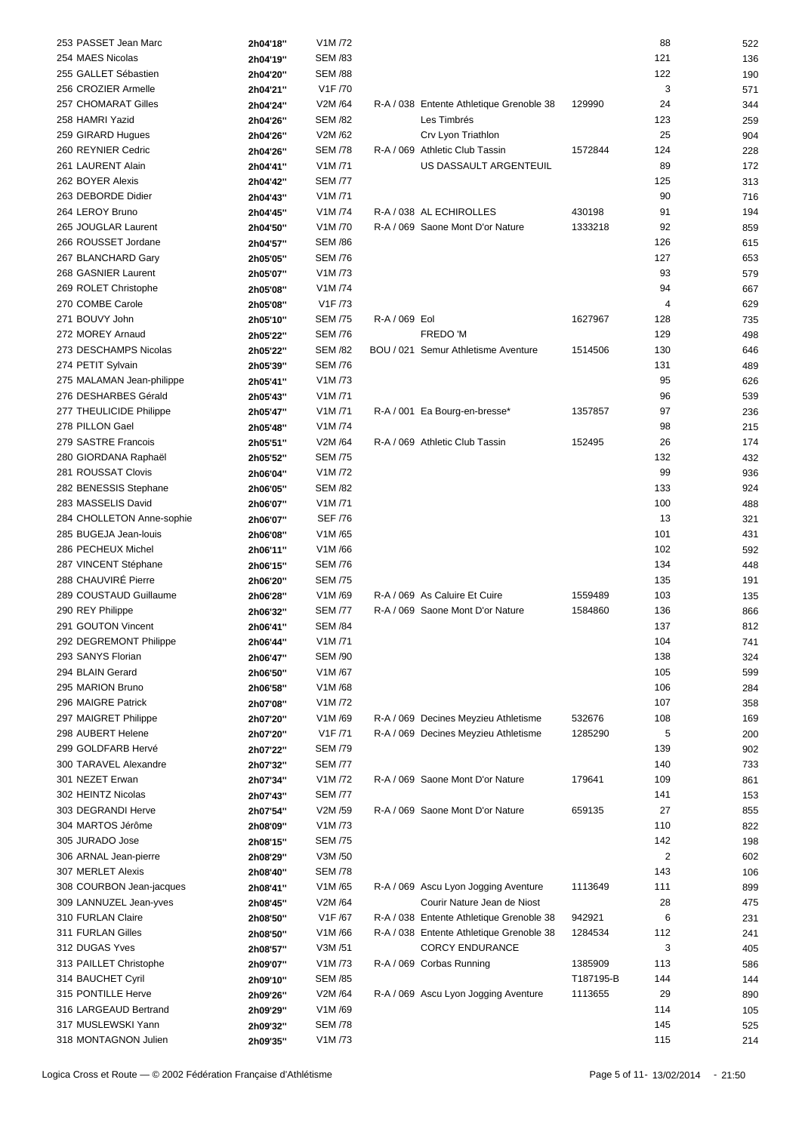| 253 PASSET Jean Marc                       | 2h04'18"             | V1M /72                         |               |                                          |           | 88             | 522        |
|--------------------------------------------|----------------------|---------------------------------|---------------|------------------------------------------|-----------|----------------|------------|
| 254 MAES Nicolas                           | 2h04'19"             | <b>SEM /83</b>                  |               |                                          |           | 121            | 136        |
| 255 GALLET Sébastien                       | 2h04'20"             | <b>SEM /88</b>                  |               |                                          |           | 122            | 190        |
| 256 CROZIER Armelle                        | 2h04'21"             | V1F /70                         |               |                                          |           | 3              | 571        |
| 257 CHOMARAT Gilles                        |                      | V2M /64                         |               | R-A / 038 Entente Athletique Grenoble 38 | 129990    | 24             |            |
|                                            | 2h04'24"             |                                 |               | Les Timbrés                              |           |                | 344        |
| 258 HAMRI Yazid                            | 2h04'26"             | <b>SEM /82</b>                  |               |                                          |           | 123            | 259        |
| 259 GIRARD Hugues                          | 2h04'26"             | V2M /62                         |               | Crv Lyon Triathlon                       |           | 25             | 904        |
| 260 REYNIER Cedric                         | 2h04'26"             | <b>SEM /78</b>                  |               | R-A / 069 Athletic Club Tassin           | 1572844   | 124            | 228        |
| 261 LAURENT Alain                          | 2h04'41"             | V1M/71                          |               | US DASSAULT ARGENTEUIL                   |           | 89             | 172        |
| 262 BOYER Alexis                           | 2h04'42"             | <b>SEM /77</b>                  |               |                                          |           | 125            | 313        |
| 263 DEBORDE Didier                         | 2h04'43"             | V1M/71                          |               |                                          |           | 90             | 716        |
| 264 LEROY Bruno                            | 2h04'45"             | V1M /74                         |               | R-A / 038 AL ECHIROLLES                  | 430198    | 91             | 194        |
| 265 JOUGLAR Laurent                        | 2h04'50"             | V <sub>1</sub> M <sub>/70</sub> |               | R-A / 069 Saone Mont D'or Nature         | 1333218   | 92             | 859        |
| 266 ROUSSET Jordane                        | 2h04'57"             | <b>SEM /86</b>                  |               |                                          |           | 126            | 615        |
| 267 BLANCHARD Gary                         | 2h05'05"             | <b>SEM /76</b>                  |               |                                          |           | 127            | 653        |
|                                            |                      |                                 |               |                                          |           |                |            |
| 268 GASNIER Laurent                        | 2h05'07"             | V1M/73                          |               |                                          |           | 93             | 579        |
| 269 ROLET Christophe                       | 2h05'08"             | V1M /74                         |               |                                          |           | 94             | 667        |
| 270 COMBE Carole                           | 2h05'08"             | V1F/73                          |               |                                          |           | 4              | 629        |
| 271 BOUVY John                             | 2h05'10"             | <b>SEM /75</b>                  | R-A / 069 Eol |                                          | 1627967   | 128            | 735        |
| 272 MOREY Arnaud                           | 2h05'22"             | <b>SEM /76</b>                  |               | FREDO 'M                                 |           | 129            | 498        |
| 273 DESCHAMPS Nicolas                      | 2h05'22"             | <b>SEM /82</b>                  |               | BOU / 021 Semur Athletisme Aventure      | 1514506   | 130            | 646        |
| 274 PETIT Sylvain                          | 2h05'39"             | <b>SEM /76</b>                  |               |                                          |           | 131            | 489        |
| 275 MALAMAN Jean-philippe                  | 2h05'41"             | V1M/73                          |               |                                          |           | 95             | 626        |
| 276 DESHARBES Gérald                       | 2h05'43"             | V1M/71                          |               |                                          |           | 96             | 539        |
| 277 THEULICIDE Philippe                    |                      | V1M/71                          |               |                                          | 1357857   | 97             |            |
|                                            | 2h05'47"             |                                 |               | R-A / 001 Ea Bourg-en-bresse*            |           |                | 236        |
| 278 PILLON Gael                            | 2h05'48"             | V1M/74                          |               |                                          |           | 98             | 215        |
| 279 SASTRE Francois                        | 2h05'51"             | V2M /64                         |               | R-A / 069 Athletic Club Tassin           | 152495    | 26             | 174        |
| 280 GIORDANA Raphaël                       | 2h05'52"             | <b>SEM /75</b>                  |               |                                          |           | 132            | 432        |
| 281 ROUSSAT Clovis                         | 2h06'04"             | V1M/72                          |               |                                          |           | 99             | 936        |
| 282 BENESSIS Stephane                      | 2h06'05"             | <b>SEM /82</b>                  |               |                                          |           | 133            | 924        |
| 283 MASSELIS David                         | 2h06'07"             | V1M/71                          |               |                                          |           | 100            | 488        |
| 284 CHOLLETON Anne-sophie                  | 2h06'07"             | <b>SEF /76</b>                  |               |                                          |           | 13             | 321        |
| 285 BUGEJA Jean-louis                      | 2h06'08"             | V1M/65                          |               |                                          |           | 101            | 431        |
| 286 PECHEUX Michel                         |                      | V1M/66                          |               |                                          |           | 102            | 592        |
|                                            | 2h06'11"             |                                 |               |                                          |           |                |            |
| 287 VINCENT Stéphane                       | 2h06'15"             | <b>SEM /76</b>                  |               |                                          |           | 134            | 448        |
| 288 CHAUVIRÉ Pierre                        | 2h06'20"             | <b>SEM /75</b>                  |               |                                          |           | 135            | 191        |
| 289 COUSTAUD Guillaume                     | 2h06'28"             | V1M/69                          |               | R-A / 069 As Caluire Et Cuire            | 1559489   | 103            | 135        |
| 290 REY Philippe                           | 2h06'32"             | <b>SEM /77</b>                  |               | R-A / 069 Saone Mont D'or Nature         | 1584860   | 136            | 866        |
| 291 GOUTON Vincent                         | 2h06'41"             | <b>SEM /84</b>                  |               |                                          |           | 137            | 812        |
| 292 DEGREMONT Philippe                     | 2h06'44"             | V1M/71                          |               |                                          |           | 104            | 741        |
| 293 SANYS Florian                          | 2h06'47"             | SEM /90                         |               |                                          |           | 138            | 324        |
| 294 BLAIN Gerard                           | 2h06'50"             | V1M/67                          |               |                                          |           | 105            | 599        |
| 295 MARION Bruno                           | 2h06'58"             | V1M/68                          |               |                                          |           | 106            | 284        |
| 296 MAIGRE Patrick                         | 2h07'08"             | V1M/72                          |               |                                          |           | 107            |            |
|                                            |                      |                                 |               |                                          |           |                | 358        |
| 297 MAIGRET Philippe                       | 2h07'20"             | V1M/69                          |               | R-A / 069 Decines Meyzieu Athletisme     | 532676    | 108            | 169        |
| 298 AUBERT Helene                          | 2h07'20"             | V1F /71                         |               | R-A / 069 Decines Meyzieu Athletisme     | 1285290   | 5              | 200        |
| 299 GOLDFARB Hervé                         | 2h07'22"             | <b>SEM /79</b>                  |               |                                          |           | 139            | 902        |
| 300 TARAVEL Alexandre                      | 2h07'32"             | <b>SEM /77</b>                  |               |                                          |           | 140            | 733        |
|                                            |                      |                                 |               |                                          |           |                |            |
| 301 NEZET Erwan                            | 2h07'34"             | V1M /72                         |               | R-A / 069 Saone Mont D'or Nature         | 179641    | 109            | 861        |
| 302 HEINTZ Nicolas                         | 2h07'43"             | <b>SEM /77</b>                  |               |                                          |           | 141            | 153        |
| 303 DEGRANDI Herve                         |                      | V2M /59                         |               | R-A / 069 Saone Mont D'or Nature         | 659135    | 27             | 855        |
|                                            | 2h07'54"             |                                 |               |                                          |           |                |            |
| 304 MARTOS Jérôme                          | 2h08'09"             | V1M/73                          |               |                                          |           | 110            | 822        |
| 305 JURADO Jose                            | 2h08'15"             | <b>SEM /75</b>                  |               |                                          |           | 142            | 198        |
| 306 ARNAL Jean-pierre                      | 2h08'29"             | V3M /50                         |               |                                          |           | $\overline{2}$ | 602        |
| 307 MERLET Alexis                          | 2h08'40"             | <b>SEM /78</b>                  |               |                                          |           | 143            | 106        |
| 308 COURBON Jean-jacques                   | 2h08'41"             | V1M/65                          |               | R-A / 069 Ascu Lyon Jogging Aventure     | 1113649   | 111            | 899        |
| 309 LANNUZEL Jean-yves                     | 2h08'45"             | V2M /64                         |               | Courir Nature Jean de Niost              |           | 28             | 475        |
| 310 FURLAN Claire                          | 2h08'50"             | V1F/67                          |               | R-A / 038 Entente Athletique Grenoble 38 | 942921    | 6              | 231        |
| 311 FURLAN Gilles                          | 2h08'50"             | V1M/66                          |               | R-A / 038 Entente Athletique Grenoble 38 | 1284534   | 112            | 241        |
| 312 DUGAS Yves                             | 2h08'57"             | V3M /51                         |               | <b>CORCY ENDURANCE</b>                   |           | 3              | 405        |
| 313 PAILLET Christophe                     |                      | V1M /73                         |               | R-A / 069 Corbas Running                 | 1385909   | 113            | 586        |
|                                            | 2h09'07"             |                                 |               |                                          | T187195-B |                |            |
| 314 BAUCHET Cyril                          | 2h09'10"             | <b>SEM /85</b>                  |               |                                          |           | 144            | 144        |
| 315 PONTILLE Herve                         | 2h09'26"             | V2M /64                         |               | R-A / 069 Ascu Lyon Jogging Aventure     | 1113655   | 29             | 890        |
| 316 LARGEAUD Bertrand                      | 2h09'29"             | V1M/69                          |               |                                          |           | 114            | 105        |
| 317 MUSLEWSKI Yann<br>318 MONTAGNON Julien | 2h09'32"<br>2h09'35" | <b>SEM /78</b><br>V1M/73        |               |                                          |           | 145<br>115     | 525<br>214 |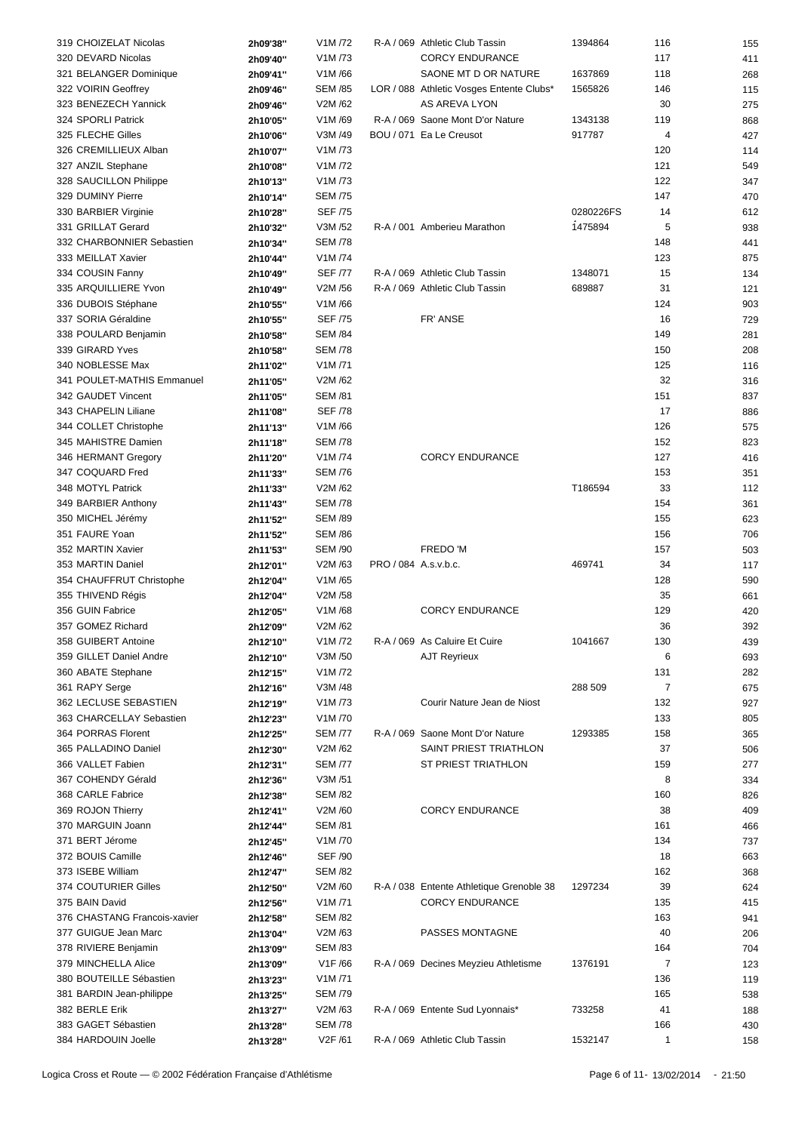| 319 CHOIZELAT Nicolas        | 2h09'38" | V1M /72        |                      | R-A / 069 Athletic Club Tassin           | 1394864   | 116            | 155 |
|------------------------------|----------|----------------|----------------------|------------------------------------------|-----------|----------------|-----|
| 320 DEVARD Nicolas           | 2h09'40" | V1M /73        |                      | <b>CORCY ENDURANCE</b>                   |           | 117            | 411 |
| 321 BELANGER Dominique       | 2h09'41" | V1M/66         |                      | SAONE MT D OR NATURE                     | 1637869   | 118            | 268 |
| 322 VOIRIN Geoffrey          |          | <b>SEM /85</b> |                      | LOR / 088 Athletic Vosges Entente Clubs* | 1565826   | 146            | 115 |
|                              | 2h09'46" |                |                      |                                          |           |                |     |
| 323 BENEZECH Yannick         | 2h09'46" | V2M /62        |                      | AS AREVA LYON                            |           | 30             | 275 |
| 324 SPORLI Patrick           | 2h10'05" | V1M/69         |                      | R-A / 069 Saone Mont D'or Nature         | 1343138   | 119            | 868 |
| 325 FLECHE Gilles            | 2h10'06" | V3M /49        |                      | BOU / 071 Ea Le Creusot                  | 917787    | 4              | 427 |
| 326 CREMILLIEUX Alban        | 2h10'07" | V1M /73        |                      |                                          |           | 120            | 114 |
| 327 ANZIL Stephane           | 2h10'08" | V1M/72         |                      |                                          |           | 121            | 549 |
| 328 SAUCILLON Philippe       | 2h10'13" | V1M /73        |                      |                                          |           | 122            | 347 |
| 329 DUMINY Pierre            | 2h10'14" | <b>SEM /75</b> |                      |                                          |           | 147            | 470 |
| 330 BARBIER Virginie         | 2h10'28" | <b>SEF /75</b> |                      |                                          | 0280226FS | 14             | 612 |
| 331 GRILLAT Gerard           | 2h10'32" | V3M /52        |                      | R-A / 001 Amberieu Marathon              | 1475894   | 5              | 938 |
| 332 CHARBONNIER Sebastien    |          | <b>SEM /78</b> |                      |                                          |           | 148            | 441 |
|                              | 2h10'34" |                |                      |                                          |           |                |     |
| 333 MEILLAT Xavier           | 2h10'44" | V1M /74        |                      |                                          |           | 123            | 875 |
| 334 COUSIN Fanny             | 2h10'49" | <b>SEF /77</b> |                      | R-A / 069 Athletic Club Tassin           | 1348071   | 15             | 134 |
| 335 ARQUILLIERE Yvon         | 2h10'49" | V2M /56        |                      | R-A / 069 Athletic Club Tassin           | 689887    | 31             | 121 |
| 336 DUBOIS Stéphane          | 2h10'55" | V1M/66         |                      |                                          |           | 124            | 903 |
| 337 SORIA Géraldine          | 2h10'55" | <b>SEF /75</b> |                      | FR' ANSE                                 |           | 16             | 729 |
| 338 POULARD Benjamin         | 2h10'58" | <b>SEM /84</b> |                      |                                          |           | 149            | 281 |
| 339 GIRARD Yves              | 2h10'58" | <b>SEM /78</b> |                      |                                          |           | 150            | 208 |
| 340 NOBLESSE Max             | 2h11'02" | V1M/71         |                      |                                          |           | 125            | 116 |
| 341 POULET-MATHIS Emmanuel   | 2h11'05" | V2M/62         |                      |                                          |           | 32             | 316 |
| 342 GAUDET Vincent           |          | <b>SEM /81</b> |                      |                                          |           | 151            |     |
|                              | 2h11'05" |                |                      |                                          |           |                | 837 |
| 343 CHAPELIN Liliane         | 2h11'08" | <b>SEF /78</b> |                      |                                          |           | 17             | 886 |
| 344 COLLET Christophe        | 2h11'13" | V1M/66         |                      |                                          |           | 126            | 575 |
| 345 MAHISTRE Damien          | 2h11'18" | <b>SEM /78</b> |                      |                                          |           | 152            | 823 |
| 346 HERMANT Gregory          | 2h11'20" | V1M /74        |                      | <b>CORCY ENDURANCE</b>                   |           | 127            | 416 |
| 347 COQUARD Fred             | 2h11'33" | <b>SEM /76</b> |                      |                                          |           | 153            | 351 |
| 348 MOTYL Patrick            | 2h11'33" | V2M /62        |                      |                                          | T186594   | 33             | 112 |
| 349 BARBIER Anthony          | 2h11'43" | <b>SEM /78</b> |                      |                                          |           | 154            | 361 |
| 350 MICHEL Jérémy            | 2h11'52" | <b>SEM /89</b> |                      |                                          |           | 155            | 623 |
| 351 FAURE Yoan               |          | <b>SEM /86</b> |                      |                                          |           | 156            | 706 |
|                              | 2h11'52" |                |                      |                                          |           |                |     |
| 352 MARTIN Xavier            | 2h11'53" | <b>SEM /90</b> |                      | FREDO 'M                                 |           | 157            | 503 |
| 353 MARTIN Daniel            | 2h12'01" | V2M /63        | PRO / 084 A.s.v.b.c. |                                          | 469741    | 34             | 117 |
| 354 CHAUFFRUT Christophe     | 2h12'04" | V1M/65         |                      |                                          |           | 128            | 590 |
| 355 THIVEND Régis            | 2h12'04" | V2M /58        |                      |                                          |           | 35             | 661 |
| 356 GUIN Fabrice             | 2h12'05" | V1M/68         |                      | <b>CORCY ENDURANCE</b>                   |           | 129            | 420 |
| 357 GOMEZ Richard            | 2h12'09" | V2M/62         |                      |                                          |           | 36             | 392 |
| 358 GUIBERT Antoine          | 2h12'10" | V1M/72         |                      | R-A / 069 As Caluire Et Cuire            | 1041667   | 130            | 439 |
| 359 GILLET Daniel Andre      | 2h12'10" | V3M /50        |                      | <b>AJT Reyrieux</b>                      |           | 6              | 693 |
| 360 ABATE Stephane           | 2h12'15" | V1M /72        |                      |                                          |           | 131            | 282 |
| 361 RAPY Serge               |          | V3M /48        |                      |                                          |           | $\overline{7}$ |     |
|                              | 2h12'16" |                |                      |                                          | 288 509   |                | 675 |
| 362 LECLUSE SEBASTIEN        | 2h12'19" | V1M/73         |                      | Courir Nature Jean de Niost              |           | 132            | 927 |
| 363 CHARCELLAY Sebastien     | 2h12'23" | V1M /70        |                      |                                          |           | 133            | 805 |
| 364 PORRAS Florent           | 2h12'25" | <b>SEM /77</b> |                      | R-A / 069 Saone Mont D'or Nature         | 1293385   | 158            | 365 |
| 365 PALLADINO Daniel         | 2h12'30" | V2M /62        |                      | SAINT PRIEST TRIATHLON                   |           | 37             | 506 |
| 366 VALLET Fabien            | 2h12'31" | <b>SEM /77</b> |                      | ST PRIEST TRIATHLON                      |           | 159            | 277 |
| 367 COHENDY Gérald           | 2h12'36" | V3M /51        |                      |                                          |           | 8              | 334 |
| 368 CARLE Fabrice            | 2h12'38" | <b>SEM /82</b> |                      |                                          |           | 160            | 826 |
| 369 ROJON Thierry            | 2h12'41" | V2M /60        |                      | <b>CORCY ENDURANCE</b>                   |           | 38             | 409 |
| 370 MARGUIN Joann            | 2h12'44" | <b>SEM /81</b> |                      |                                          |           | 161            | 466 |
|                              |          |                |                      |                                          |           |                |     |
| 371 BERT Jérome              | 2h12'45" | V1M /70        |                      |                                          |           | 134            | 737 |
| 372 BOUIS Camille            | 2h12'46" | <b>SEF /90</b> |                      |                                          |           | 18             | 663 |
| 373 ISEBE William            | 2h12'47" | <b>SEM /82</b> |                      |                                          |           | 162            | 368 |
| 374 COUTURIER Gilles         | 2h12'50" | V2M /60        |                      | R-A / 038 Entente Athletique Grenoble 38 | 1297234   | 39             | 624 |
| 375 BAIN David               | 2h12'56" | V1M/71         |                      | <b>CORCY ENDURANCE</b>                   |           | 135            | 415 |
| 376 CHASTANG Francois-xavier | 2h12'58" | <b>SEM /82</b> |                      |                                          |           | 163            | 941 |
| 377 GUIGUE Jean Marc         | 2h13'04" | V2M /63        |                      | PASSES MONTAGNE                          |           | 40             | 206 |
| 378 RIVIERE Benjamin         | 2h13'09" | <b>SEM /83</b> |                      |                                          |           | 164            | 704 |
| 379 MINCHELLA Alice          | 2h13'09" | V1F/66         |                      | R-A / 069 Decines Meyzieu Athletisme     | 1376191   | $\overline{7}$ | 123 |
| 380 BOUTEILLE Sébastien      |          | V1M/71         |                      |                                          |           | 136            |     |
|                              | 2h13'23" |                |                      |                                          |           |                | 119 |
| 381 BARDIN Jean-philippe     | 2h13'25" | <b>SEM /79</b> |                      |                                          |           | 165            | 538 |
| 382 BERLE Erik               | 2h13'27" | V2M /63        |                      | R-A / 069 Entente Sud Lyonnais*          | 733258    | 41             | 188 |
| 383 GAGET Sébastien          | 2h13'28" | <b>SEM /78</b> |                      |                                          |           | 166            | 430 |
| 384 HARDOUIN Joelle          | 2h13'28" | V2F /61        |                      | R-A / 069 Athletic Club Tassin           | 1532147   | $\mathbf{1}$   | 158 |
|                              |          |                |                      |                                          |           |                |     |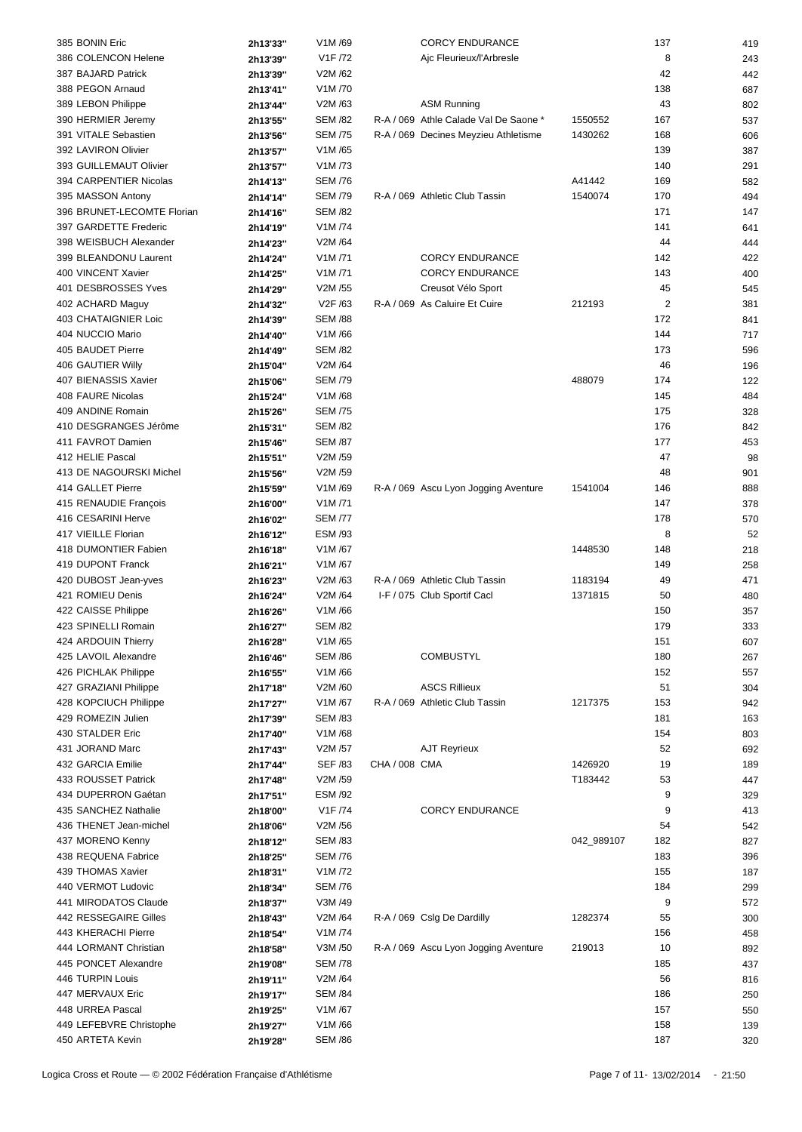| 385 BONIN Eric                              | 2h13'33"             | V1M/69                   |               | <b>CORCY ENDURANCE</b>                |            | 137            | 419        |
|---------------------------------------------|----------------------|--------------------------|---------------|---------------------------------------|------------|----------------|------------|
| 386 COLENCON Helene                         | 2h13'39"             | V1F /72                  |               | Ajc Fleurieux/l'Arbresle              |            | 8              | 243        |
| 387 BAJARD Patrick                          | 2h13'39"             | V2M/62                   |               |                                       |            | 42             | 442        |
| 388 PEGON Arnaud                            | 2h13'41"             | V1M /70                  |               |                                       |            | 138            | 687        |
| 389 LEBON Philippe                          |                      | V2M /63                  |               | <b>ASM Running</b>                    |            | 43             |            |
|                                             | 2h13'44"             |                          |               | R-A / 069 Athle Calade Val De Saone * |            |                | 802        |
| 390 HERMIER Jeremy                          | 2h13'55"             | <b>SEM /82</b>           |               |                                       | 1550552    | 167            | 537        |
| 391 VITALE Sebastien                        | 2h13'56"             | <b>SEM /75</b>           |               | R-A / 069 Decines Meyzieu Athletisme  | 1430262    | 168            | 606        |
| 392 LAVIRON Olivier                         | 2h13'57"             | V1M/65                   |               |                                       |            | 139            | 387        |
| 393 GUILLEMAUT Olivier                      | 2h13'57"             | V1M /73                  |               |                                       |            | 140            | 291        |
| 394 CARPENTIER Nicolas                      | 2h14'13"             | <b>SEM /76</b>           |               |                                       | A41442     | 169            | 582        |
| 395 MASSON Antony                           | 2h14'14"             | <b>SEM /79</b>           |               | R-A / 069 Athletic Club Tassin        | 1540074    | 170            | 494        |
| 396 BRUNET-LECOMTE Florian                  | 2h14'16"             | <b>SEM /82</b>           |               |                                       |            | 171            | 147        |
| 397 GARDETTE Frederic                       | 2h14'19"             | V1M /74                  |               |                                       |            | 141            | 641        |
| 398 WEISBUCH Alexander                      | 2h14'23"             | V2M /64                  |               |                                       |            | 44             | 444        |
| 399 BLEANDONU Laurent                       | 2h14'24"             | V1M/71                   |               | <b>CORCY ENDURANCE</b>                |            | 142            | 422        |
| 400 VINCENT Xavier                          |                      | V1M/71                   |               |                                       |            |                |            |
|                                             | 2h14'25"             |                          |               | <b>CORCY ENDURANCE</b>                |            | 143            | 400        |
| 401 DESBROSSES Yves                         | 2h14'29"             | V2M /55                  |               | Creusot Vélo Sport                    |            | 45             | 545        |
| 402 ACHARD Maguy                            | 2h14'32"             | V2F /63                  |               | R-A / 069 As Caluire Et Cuire         | 212193     | $\overline{2}$ | 381        |
| 403 CHATAIGNIER Loic                        | 2h14'39"             | <b>SEM /88</b>           |               |                                       |            | 172            | 841        |
| 404 NUCCIO Mario                            | 2h14'40"             | V1M/66                   |               |                                       |            | 144            | 717        |
| 405 BAUDET Pierre                           | 2h14'49"             | <b>SEM /82</b>           |               |                                       |            | 173            | 596        |
| 406 GAUTIER Willy                           | 2h15'04"             | V2M /64                  |               |                                       |            | 46             | 196        |
| 407 BIENASSIS Xavier                        | 2h15'06"             | <b>SEM /79</b>           |               |                                       | 488079     | 174            | 122        |
| 408 FAURE Nicolas                           | 2h15'24"             | V1M/68                   |               |                                       |            | 145            | 484        |
| 409 ANDINE Romain                           |                      | <b>SEM /75</b>           |               |                                       |            | 175            |            |
|                                             | 2h15'26"             |                          |               |                                       |            |                | 328        |
| 410 DESGRANGES Jérôme                       | 2h15'31"             | <b>SEM /82</b>           |               |                                       |            | 176            | 842        |
| 411 FAVROT Damien                           | 2h15'46"             | <b>SEM /87</b>           |               |                                       |            | 177            | 453        |
| 412 HELIE Pascal                            | 2h15'51"             | V2M /59                  |               |                                       |            | 47             | 98         |
| 413 DE NAGOURSKI Michel                     | 2h15'56"             | V2M /59                  |               |                                       |            | 48             | 901        |
| 414 GALLET Pierre                           | 2h15'59"             | V1M/69                   |               | R-A / 069 Ascu Lyon Jogging Aventure  | 1541004    | 146            | 888        |
| 415 RENAUDIE François                       | 2h16'00"             | V1M/71                   |               |                                       |            | 147            | 378        |
| 416 CESARINI Herve                          | 2h16'02"             | <b>SEM /77</b>           |               |                                       |            | 178            | 570        |
| 417 VIEILLE Florian                         | 2h16'12"             | <b>ESM /93</b>           |               |                                       |            | 8              | 52         |
| 418 DUMONTIER Fabien                        | 2h16'18"             | V1M/67                   |               |                                       | 1448530    | 148            | 218        |
|                                             |                      |                          |               |                                       |            |                |            |
| 419 DUPONT Franck                           | 2h16'21"             | V1M/67                   |               |                                       |            | 149            | 258        |
| 420 DUBOST Jean-yves                        | 2h16'23"             | V2M /63                  |               | R-A / 069 Athletic Club Tassin        | 1183194    | 49             | 471        |
| 421 ROMIEU Denis                            | 2h16'24"             | V2M /64                  |               | I-F / 075 Club Sportif Cacl           | 1371815    | 50             | 480        |
| 422 CAISSE Philippe                         | 2h16'26"             | V1M/66                   |               |                                       |            | 150            | 357        |
| 423 SPINELLI Romain                         | 2h16'27"             | <b>SEM /82</b>           |               |                                       |            | 179            | 333        |
| 424 ARDOUIN Thierry                         | 2h16'28"             | V1M/65                   |               |                                       |            | 151            | 607        |
| 425 LAVOIL Alexandre                        | 2h16'46"             | <b>SEM /86</b>           |               | <b>COMBUSTYL</b>                      |            | 180            | 267        |
| 426 PICHLAK Philippe                        | 2h16'55"             | V1M/66                   |               |                                       |            | 152            | 557        |
| 427 GRAZIANI Philippe                       | 2h17'18"             | V2M /60                  |               | <b>ASCS Rillieux</b>                  |            | 51             | 304        |
| 428 KOPCIUCH Philippe                       | 2h17'27"             | V1M/67                   |               | R-A / 069 Athletic Club Tassin        | 1217375    | 153            | 942        |
| 429 ROMEZIN Julien                          |                      | <b>SEM /83</b>           |               |                                       |            |                |            |
|                                             | 2h17'39"             |                          |               |                                       |            | 181            | 163        |
| 430 STALDER Eric                            | 2h17'40"             | V1M/68                   |               |                                       |            | 154            | 803        |
| 431 JORAND Marc                             | 2h17'43"             | V2M /57                  |               | <b>AJT Reyrieux</b>                   |            | 52             | 692        |
| 432 GARCIA Emilie                           | 2h17'44"             | <b>SEF /83</b>           | CHA / 008 CMA |                                       | 1426920    | 19             | 189        |
| 433 ROUSSET Patrick                         | 2h17'48"             | V2M /59                  |               |                                       | T183442    | 53             | 447        |
| 434 DUPERRON Gaétan                         | 2h17'51"             | ESM /92                  |               |                                       |            | 9              | 329        |
| 435 SANCHEZ Nathalie                        | 2h18'00"             | V1F /74                  |               | <b>CORCY ENDURANCE</b>                |            | 9              | 413        |
| 436 THENET Jean-michel                      | 2h18'06"             | V2M /56                  |               |                                       |            | 54             | 542        |
| 437 MORENO Kenny                            | 2h18'12"             | <b>SEM /83</b>           |               |                                       | 042_989107 | 182            | 827        |
| 438 REQUENA Fabrice                         | 2h18'25"             | <b>SEM /76</b>           |               |                                       |            | 183            | 396        |
|                                             |                      | V1M /72                  |               |                                       |            |                |            |
| 439 THOMAS Xavier                           | 2h18'31"             |                          |               |                                       |            | 155            | 187        |
| 440 VERMOT Ludovic                          | 2h18'34"             | <b>SEM /76</b>           |               |                                       |            | 184            | 299        |
| 441 MIRODATOS Claude                        | 2h18'37"             | V3M /49                  |               |                                       |            | 9              | 572        |
| 442 RESSEGAIRE Gilles                       | 2h18'43"             | V2M /64                  |               | R-A / 069 Cslg De Dardilly            | 1282374    | 55             | 300        |
| 443 KHERACHI Pierre                         | 2h18'54"             | V1M /74                  |               |                                       |            | 156            | 458        |
| 444 LORMANT Christian                       | 2h18'58"             | V3M /50                  |               | R-A / 069 Ascu Lyon Jogging Aventure  | 219013     | 10             | 892        |
| 445 PONCET Alexandre                        |                      |                          |               |                                       |            | 185            | 437        |
|                                             | 2h19'08"             | <b>SEM /78</b>           |               |                                       |            |                |            |
| 446 TURPIN Louis                            |                      | V2M /64                  |               |                                       |            | 56             |            |
|                                             | 2h19'11"             |                          |               |                                       |            |                | 816        |
| 447 MERVAUX Eric                            | 2h19'17"             | <b>SEM /84</b>           |               |                                       |            | 186            | 250        |
| 448 URREA Pascal                            | 2h19'25"             | V1M/67                   |               |                                       |            | 157            | 550        |
| 449 LEFEBVRE Christophe<br>450 ARTETA Kevin | 2h19'27"<br>2h19'28" | V1M/66<br><b>SEM /86</b> |               |                                       |            | 158<br>187     | 139<br>320 |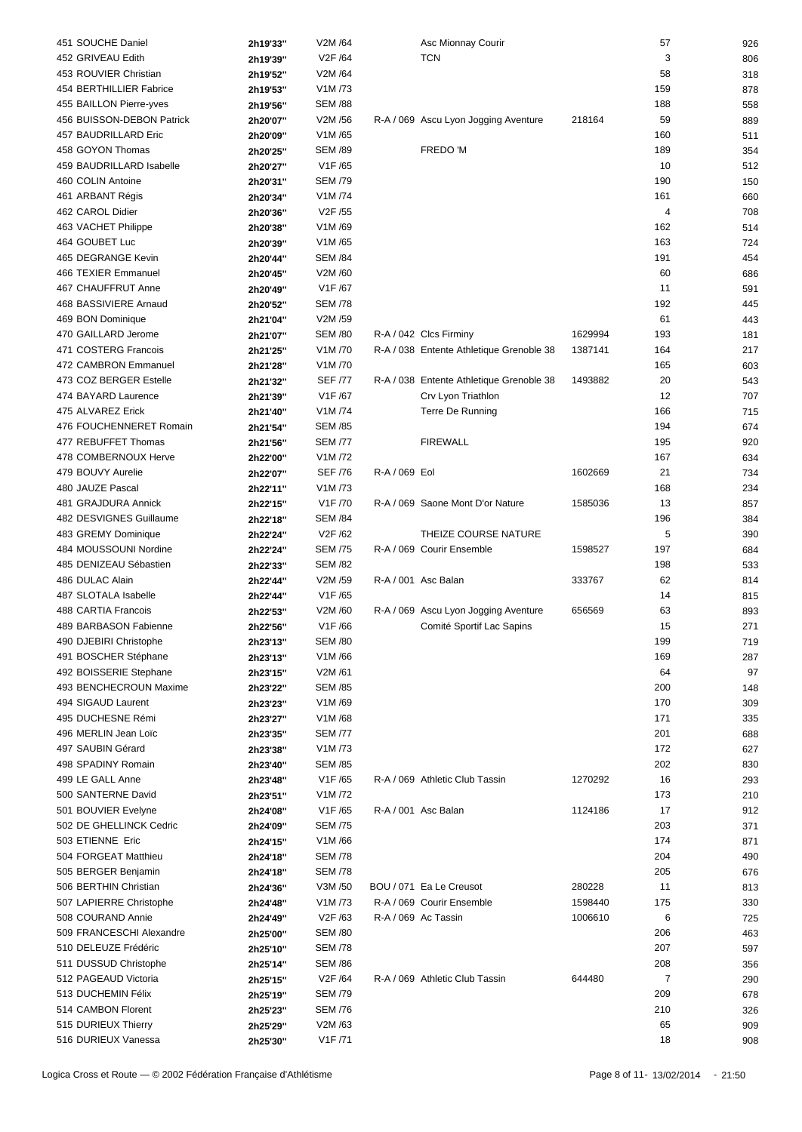| 451 SOUCHE Daniel                          | 2h19'33"             | V2M /64              |               | Asc Mionnay Courir                       |         | 57             | 926        |
|--------------------------------------------|----------------------|----------------------|---------------|------------------------------------------|---------|----------------|------------|
| 452 GRIVEAU Edith                          | 2h19'39"             | V2F /64              |               | <b>TCN</b>                               |         | 3              | 806        |
| 453 ROUVIER Christian                      | 2h19'52"             | V2M /64              |               |                                          |         | 58             | 318        |
| 454 BERTHILLIER Fabrice                    | 2h19'53"             | V1M/73               |               |                                          |         | 159            | 878        |
| 455 BAILLON Pierre-yves                    | 2h19'56"             | <b>SEM /88</b>       |               |                                          |         | 188            | 558        |
|                                            |                      |                      |               |                                          |         |                |            |
| 456 BUISSON-DEBON Patrick                  | 2h20'07"             | V2M /56              |               | R-A / 069 Ascu Lyon Jogging Aventure     | 218164  | 59             | 889        |
| 457 BAUDRILLARD Eric                       | 2h20'09"             | V1M/65               |               |                                          |         | 160            | 511        |
| 458 GOYON Thomas                           | 2h20'25"             | <b>SEM /89</b>       |               | FREDO 'M                                 |         | 189            | 354        |
| 459 BAUDRILLARD Isabelle                   | 2h20'27"             | V1F /65              |               |                                          |         | 10             | 512        |
| 460 COLIN Antoine                          | 2h20'31"             | <b>SEM /79</b>       |               |                                          |         | 190            | 150        |
| 461 ARBANT Régis                           | 2h20'34"             | V1M/74               |               |                                          |         | 161            | 660        |
| 462 CAROL Didier                           | 2h20'36"             | V2F /55              |               |                                          |         | $\overline{4}$ | 708        |
| 463 VACHET Philippe                        | 2h20'38"             | V1M/69               |               |                                          |         | 162            | 514        |
| 464 GOUBET Luc                             | 2h20'39"             | V1M/65               |               |                                          |         | 163            | 724        |
| 465 DEGRANGE Kevin                         | 2h20'44"             | <b>SEM /84</b>       |               |                                          |         | 191            | 454        |
|                                            |                      |                      |               |                                          |         |                |            |
| 466 TEXIER Emmanuel                        | 2h20'45"             | V2M /60              |               |                                          |         | 60             | 686        |
| 467 CHAUFFRUT Anne                         | 2h20'49"             | V1F /67              |               |                                          |         | 11             | 591        |
| 468 BASSIVIERE Arnaud                      | 2h20'52"             | <b>SEM /78</b>       |               |                                          |         | 192            | 445        |
| 469 BON Dominique                          | 2h21'04"             | V2M /59              |               |                                          |         | 61             | 443        |
| 470 GAILLARD Jerome                        | 2h21'07"             | <b>SEM /80</b>       |               | R-A / 042 Clcs Firminy                   | 1629994 | 193            | 181        |
| 471 COSTERG Francois                       | 2h21'25"             | V1M /70              |               | R-A / 038 Entente Athletique Grenoble 38 | 1387141 | 164            | 217        |
| 472 CAMBRON Emmanuel                       | 2h21'28"             | V1M/70               |               |                                          |         | 165            | 603        |
| 473 COZ BERGER Estelle                     | 2h21'32"             | <b>SEF /77</b>       |               | R-A / 038 Entente Athletique Grenoble 38 | 1493882 | 20             | 543        |
| 474 BAYARD Laurence                        | 2h21'39"             | V1F/67               |               | Crv Lyon Triathlon                       |         | 12             | 707        |
| 475 ALVAREZ Erick                          | 2h21'40"             | V1M /74              |               | Terre De Running                         |         | 166            | 715        |
|                                            |                      |                      |               |                                          |         |                |            |
| 476 FOUCHENNERET Romain                    | 2h21'54"             | <b>SEM /85</b>       |               |                                          |         | 194            | 674        |
| 477 REBUFFET Thomas                        | 2h21'56"             | <b>SEM /77</b>       |               | <b>FIREWALL</b>                          |         | 195            | 920        |
| 478 COMBERNOUX Herve                       | 2h22'00"             | V1M /72              |               |                                          |         | 167            | 634        |
| 479 BOUVY Aurelie                          | 2h22'07"             | <b>SEF /76</b>       | R-A / 069 Eol |                                          | 1602669 | 21             | 734        |
| 480 JAUZE Pascal                           | 2h22'11"             | V1M /73              |               |                                          |         | 168            | 234        |
| 481 GRAJDURA Annick                        | 2h22'15"             | V1F /70              |               | R-A / 069 Saone Mont D'or Nature         | 1585036 | 13             | 857        |
| 482 DESVIGNES Guillaume                    | 2h22'18"             | <b>SEM /84</b>       |               |                                          |         | 196            | 384        |
| 483 GREMY Dominique                        | 2h22'24"             | V2F /62              |               | THEIZE COURSE NATURE                     |         | 5              | 390        |
| 484 MOUSSOUNI Nordine                      | 2h22'24"             | <b>SEM /75</b>       |               | R-A / 069 Courir Ensemble                | 1598527 | 197            | 684        |
| 485 DENIZEAU Sébastien                     |                      | <b>SEM /82</b>       |               |                                          |         | 198            |            |
|                                            | 2h22'33"             |                      |               |                                          |         |                | 533        |
| 486 DULAC Alain                            | 2h22'44"             | V2M /59              |               | R-A / 001 Asc Balan                      | 333767  | 62             | 814        |
| 487 SLOTALA Isabelle                       | 2h22'44"             | V1F /65              |               |                                          |         | 14             | 815        |
| 488 CARTIA Francois                        | 2h22'53"             | V2M /60              |               | R-A / 069 Ascu Lyon Jogging Aventure     | 656569  | 63             | 893        |
| 489 BARBASON Fabienne                      | 2h22'56"             | V1F/66               |               | Comité Sportif Lac Sapins                |         | 15             | 271        |
| 490 DJEBIRI Christophe                     | 2h23'13"             | <b>SEM /80</b>       |               |                                          |         | 199            | 719        |
| 491 BOSCHER Stéphane                       | 2h23'13"             | V1M/66               |               |                                          |         | 169            | 287        |
| 492 BOISSERIE Stephane                     | 2h23'15"             | V2M /61              |               |                                          |         | 64             | 97         |
| 493 BENCHECROUN Maxime                     | 2h23'22"             | <b>SEM /85</b>       |               |                                          |         | 200            | 148        |
| 494 SIGAUD Laurent                         | 2h23'23"             | V1M/69               |               |                                          |         | 170            | 309        |
| 495 DUCHESNE Rémi                          |                      | V1M/68               |               |                                          |         | 171            |            |
|                                            | 2h23'27"             |                      |               |                                          |         |                | 335        |
| 496 MERLIN Jean Loïc                       | 2h23'35"             | <b>SEM /77</b>       |               |                                          |         | 201            | 688        |
| 497 SAUBIN Gérard                          | 2h23'38"             | V1M /73              |               |                                          |         | 172            | 627        |
| 498 SPADINY Romain                         | 2h23'40"             | <b>SEM /85</b>       |               |                                          |         | 202            | 830        |
| 499 LE GALL Anne                           | 2h23'48"             | V1F/65               |               | R-A / 069 Athletic Club Tassin           | 1270292 | 16             | 293        |
| 500 SANTERNE David                         | 2h23'51"             | V1M /72              |               |                                          |         | 173            | 210        |
| 501 BOUVIER Evelyne                        | 2h24'08"             | V1F/65               |               | R-A / 001 Asc Balan                      | 1124186 | 17             | 912        |
| 502 DE GHELLINCK Cedric                    | 2h24'09"             | <b>SEM /75</b>       |               |                                          |         | 203            | 371        |
| 503 ETIENNE Eric                           | 2h24'15"             | V1M/66               |               |                                          |         | 174            | 871        |
| 504 FORGEAT Matthieu                       | 2h24'18"             | <b>SEM /78</b>       |               |                                          |         | 204            | 490        |
|                                            |                      | <b>SEM /78</b>       |               |                                          |         |                |            |
| 505 BERGER Benjamin                        | 2h24'18"             |                      |               |                                          |         | 205            | 676        |
| 506 BERTHIN Christian                      | 2h24'36"             | V3M /50              |               | BOU / 071 Ea Le Creusot                  | 280228  | 11             | 813        |
| 507 LAPIERRE Christophe                    | 2h24'48"             | V1M /73              |               | R-A / 069 Courir Ensemble                | 1598440 | 175            | 330        |
| 508 COURAND Annie                          | 2h24'49"             | V <sub>2</sub> F /63 |               | R-A / 069 Ac Tassin                      | 1006610 | 6              | 725        |
| 509 FRANCESCHI Alexandre                   | 2h25'00"             | <b>SEM /80</b>       |               |                                          |         | 206            | 463        |
| 510 DELEUZE Frédéric                       | 2h25'10"             | <b>SEM /78</b>       |               |                                          |         | 207            | 597        |
| 511 DUSSUD Christophe                      |                      |                      |               |                                          |         | 208            | 356        |
|                                            | 2h25'14"             | <b>SEM /86</b>       |               |                                          |         |                |            |
| 512 PAGEAUD Victoria                       |                      | V2F /64              |               | R-A / 069 Athletic Club Tassin           | 644480  | $\overline{7}$ |            |
|                                            | 2h25'15"             |                      |               |                                          |         |                | 290        |
| 513 DUCHEMIN Félix                         | 2h25'19"             | <b>SEM /79</b>       |               |                                          |         | 209            | 678        |
| 514 CAMBON Florent                         | 2h25'23"             | <b>SEM /76</b>       |               |                                          |         | 210            | 326        |
| 515 DURIEUX Thierry<br>516 DURIEUX Vanessa | 2h25'29"<br>2h25'30" | V2M/63<br>V1F /71    |               |                                          |         | 65<br>18       | 909<br>908 |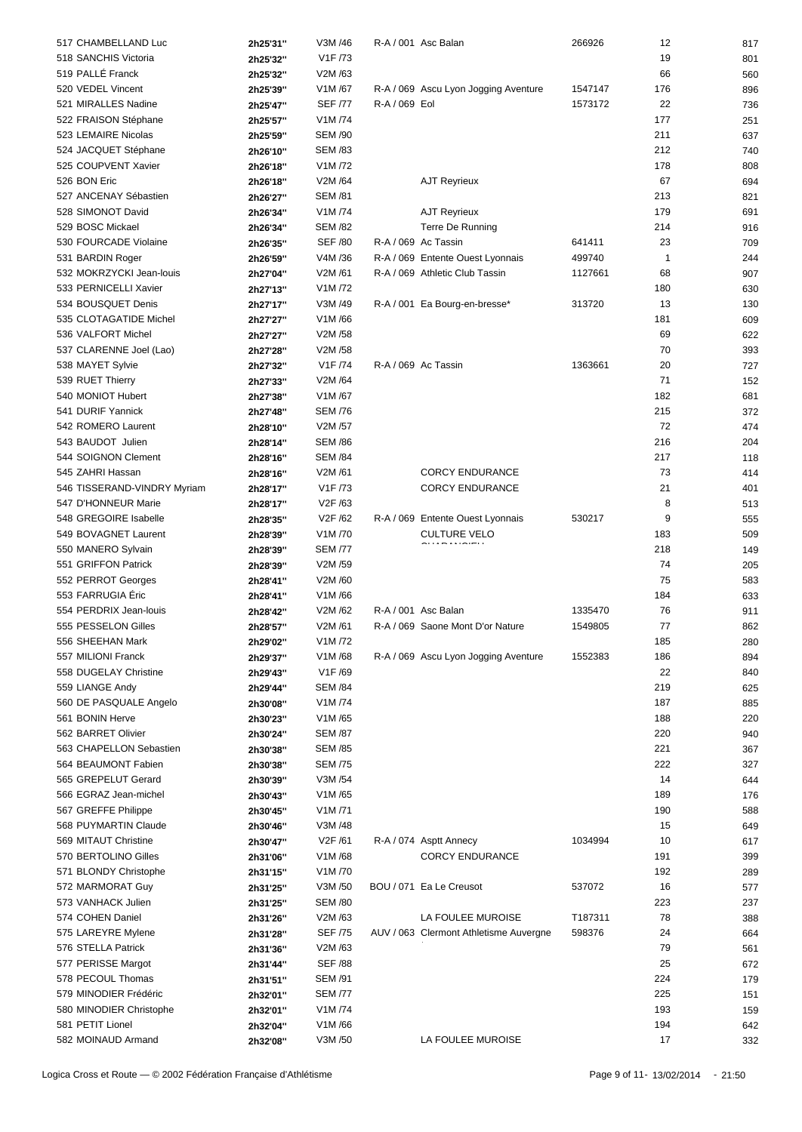| 517 CHAMBELLAND Luc         | 2h25'31" | V3M /46              |               | R-A / 001 Asc Balan                    | 266926  | 12           | 817 |
|-----------------------------|----------|----------------------|---------------|----------------------------------------|---------|--------------|-----|
| 518 SANCHIS Victoria        | 2h25'32" | V <sub>1</sub> F /73 |               |                                        |         | 19           | 801 |
| 519 PALLÉ Franck            |          | V2M /63              |               |                                        |         | 66           | 560 |
|                             | 2h25'32" |                      |               |                                        |         |              |     |
| 520 VEDEL Vincent           | 2h25'39" | V1M/67               |               | R-A / 069 Ascu Lyon Jogging Aventure   | 1547147 | 176          | 896 |
| 521 MIRALLES Nadine         | 2h25'47" | <b>SEF /77</b>       | R-A / 069 Eol |                                        | 1573172 | 22           | 736 |
| 522 FRAISON Stéphane        | 2h25'57" | V1M /74              |               |                                        |         | 177          | 251 |
| 523 LEMAIRE Nicolas         | 2h25'59" | <b>SEM /90</b>       |               |                                        |         | 211          | 637 |
| 524 JACQUET Stéphane        | 2h26'10" | <b>SEM /83</b>       |               |                                        |         | 212          | 740 |
| 525 COUPVENT Xavier         | 2h26'18" | V1M/72               |               |                                        |         | 178          | 808 |
| 526 BON Eric                | 2h26'18" | V2M /64              |               | <b>AJT Reyrieux</b>                    |         | 67           | 694 |
| 527 ANCENAY Sébastien       | 2h26'27" | <b>SEM /81</b>       |               |                                        |         | 213          | 821 |
| 528 SIMONOT David           |          | V1M /74              |               |                                        |         | 179          |     |
|                             | 2h26'34" |                      |               | <b>AJT Reyrieux</b>                    |         |              | 691 |
| 529 BOSC Mickael            | 2h26'34" | <b>SEM /82</b>       |               | Terre De Running                       |         | 214          | 916 |
| 530 FOURCADE Violaine       | 2h26'35" | <b>SEF /80</b>       |               | R-A / 069 Ac Tassin                    | 641411  | 23           | 709 |
| 531 BARDIN Roger            | 2h26'59" | V4M /36              |               | R-A / 069 Entente Ouest Lyonnais       | 499740  | $\mathbf{1}$ | 244 |
| 532 MOKRZYCKI Jean-louis    | 2h27'04" | V2M /61              |               | R-A / 069 Athletic Club Tassin         | 1127661 | 68           | 907 |
| 533 PERNICELLI Xavier       | 2h27'13" | V1M/72               |               |                                        |         | 180          | 630 |
| 534 BOUSQUET Denis          | 2h27'17" | V3M /49              |               | R-A / 001 Ea Bourg-en-bresse*          | 313720  | 13           | 130 |
| 535 CLOTAGATIDE Michel      | 2h27'27" | V1M /66              |               |                                        |         | 181          | 609 |
| 536 VALFORT Michel          | 2h27'27" | V2M /58              |               |                                        |         | 69           | 622 |
| 537 CLARENNE Joel (Lao)     |          | V2M /58              |               |                                        |         | 70           | 393 |
|                             | 2h27'28" |                      |               |                                        |         |              |     |
| 538 MAYET Sylvie            | 2h27'32" | V1F /74              |               | R-A / 069 Ac Tassin                    | 1363661 | 20           | 727 |
| 539 RUET Thierry            | 2h27'33" | V2M /64              |               |                                        |         | 71           | 152 |
| 540 MONIOT Hubert           | 2h27'38" | V1M/67               |               |                                        |         | 182          | 681 |
| 541 DURIF Yannick           | 2h27'48" | <b>SEM /76</b>       |               |                                        |         | 215          | 372 |
| 542 ROMERO Laurent          | 2h28'10" | V2M /57              |               |                                        |         | 72           | 474 |
| 543 BAUDOT Julien           | 2h28'14" | <b>SEM /86</b>       |               |                                        |         | 216          | 204 |
| 544 SOIGNON Clement         | 2h28'16" | <b>SEM /84</b>       |               |                                        |         | 217          | 118 |
| 545 ZAHRI Hassan            | 2h28'16" | V2M/61               |               | <b>CORCY ENDURANCE</b>                 |         | 73           | 414 |
| 546 TISSERAND-VINDRY Myriam | 2h28'17" | V <sub>1</sub> F /73 |               | <b>CORCY ENDURANCE</b>                 |         | 21           | 401 |
|                             |          |                      |               |                                        |         |              |     |
| 547 D'HONNEUR Marie         | 2h28'17" | V2F /63              |               |                                        |         | 8            | 513 |
| 548 GREGOIRE Isabelle       | 2h28'35" | V2F /62              |               | R-A / 069 Entente Ouest Lyonnais       | 530217  | 9            | 555 |
| 549 BOVAGNET Laurent        | 2h28'39" | V1M/70               |               | <b>CULTURE VELO</b>                    |         | 183          | 509 |
| 550 MANERO Sylvain          | 2h28'39" | <b>SEM /77</b>       |               |                                        |         | 218          | 149 |
| 551 GRIFFON Patrick         | 2h28'39" | V2M /59              |               |                                        |         | 74           | 205 |
| 552 PERROT Georges          | 2h28'41" | V2M /60              |               |                                        |         | 75           | 583 |
| 553 FARRUGIA Éric           | 2h28'41" | V1M/66               |               |                                        |         | 184          | 633 |
| 554 PERDRIX Jean-louis      | 2h28'42" | V2M /62              |               | R-A / 001 Asc Balan                    | 1335470 | 76           | 911 |
| 555 PESSELON Gilles         | 2h28'57" | V2M/61               |               | R-A / 069 Saone Mont D'or Nature       | 1549805 | 77           | 862 |
|                             |          |                      |               |                                        |         |              |     |
| 556 SHEEHAN Mark            | 2h29'02" | V1M /72              |               |                                        |         | 185          | 280 |
| 557 MILIONI Franck          | 2h29'37" | V1M/68               |               | R-A / 069 Ascu Lyon Jogging Aventure   | 1552383 | 186          | 894 |
| 558 DUGELAY Christine       | 2h29'43" | V <sub>1</sub> F /69 |               |                                        |         | 22           | 840 |
| 559 LIANGE Andy             | 2h29'44" | <b>SEM /84</b>       |               |                                        |         | 219          | 625 |
| 560 DE PASQUALE Angelo      | 2h30'08" | V1M /74              |               |                                        |         | 187          | 885 |
| 561 BONIN Herve             | 2h30'23" | V1M /65              |               |                                        |         | 188          | 220 |
| 562 BARRET Olivier          | 2h30'24" | <b>SEM /87</b>       |               |                                        |         | 220          | 940 |
| 563 CHAPELLON Sebastien     | 2h30'38" | <b>SEM /85</b>       |               |                                        |         | 221          | 367 |
| 564 BEAUMONT Fabien         | 2h30'38" | <b>SEM /75</b>       |               |                                        |         | 222          | 327 |
| 565 GREPELUT Gerard         |          | V3M /54              |               |                                        |         | 14           |     |
|                             | 2h30'39" |                      |               |                                        |         |              | 644 |
| 566 EGRAZ Jean-michel       | 2h30'43" | V1M/65               |               |                                        |         | 189          | 176 |
| 567 GREFFE Philippe         | 2h30'45" | V1M/71               |               |                                        |         | 190          | 588 |
| 568 PUYMARTIN Claude        | 2h30'46" | V3M /48              |               |                                        |         | 15           | 649 |
| 569 MITAUT Christine        | 2h30'47" | V2F /61              |               | R-A / 074 Asptt Annecy                 | 1034994 | 10           | 617 |
| 570 BERTOLINO Gilles        | 2h31'06" | V1M/68               |               | <b>CORCY ENDURANCE</b>                 |         | 191          | 399 |
| 571 BLONDY Christophe       | 2h31'15" | V1M /70              |               |                                        |         | 192          | 289 |
| 572 MARMORAT Guy            | 2h31'25" | V3M /50              |               | BOU / 071 Ea Le Creusot                | 537072  | 16           | 577 |
| 573 VANHACK Julien          | 2h31'25" | <b>SEM /80</b>       |               |                                        |         | 223          | 237 |
| 574 COHEN Daniel            |          | V2M /63              |               | LA FOULEE MUROISE                      | T187311 | 78           | 388 |
|                             | 2h31'26" |                      |               |                                        |         |              |     |
| 575 LAREYRE Mylene          | 2h31'28" | <b>SEF /75</b>       |               | AUV / 063 Clermont Athletisme Auvergne | 598376  | 24           | 664 |
| 576 STELLA Patrick          | 2h31'36" | V2M /63              |               |                                        |         | 79           | 561 |
| 577 PERISSE Margot          | 2h31'44" | <b>SEF /88</b>       |               |                                        |         | 25           | 672 |
| 578 PECOUL Thomas           | 2h31'51" | <b>SEM /91</b>       |               |                                        |         | 224          | 179 |
| 579 MINODIER Frédéric       | 2h32'01" | <b>SEM /77</b>       |               |                                        |         | 225          | 151 |
| 580 MINODIER Christophe     | 2h32'01" | V1M /74              |               |                                        |         | 193          | 159 |
| 581 PETIT Lionel            | 2h32'04" | V1M /66              |               |                                        |         | 194          | 642 |
| 582 MOINAUD Armand          | 2h32'08" | V3M /50              |               | LA FOULEE MUROISE                      |         | 17           | 332 |
|                             |          |                      |               |                                        |         |              |     |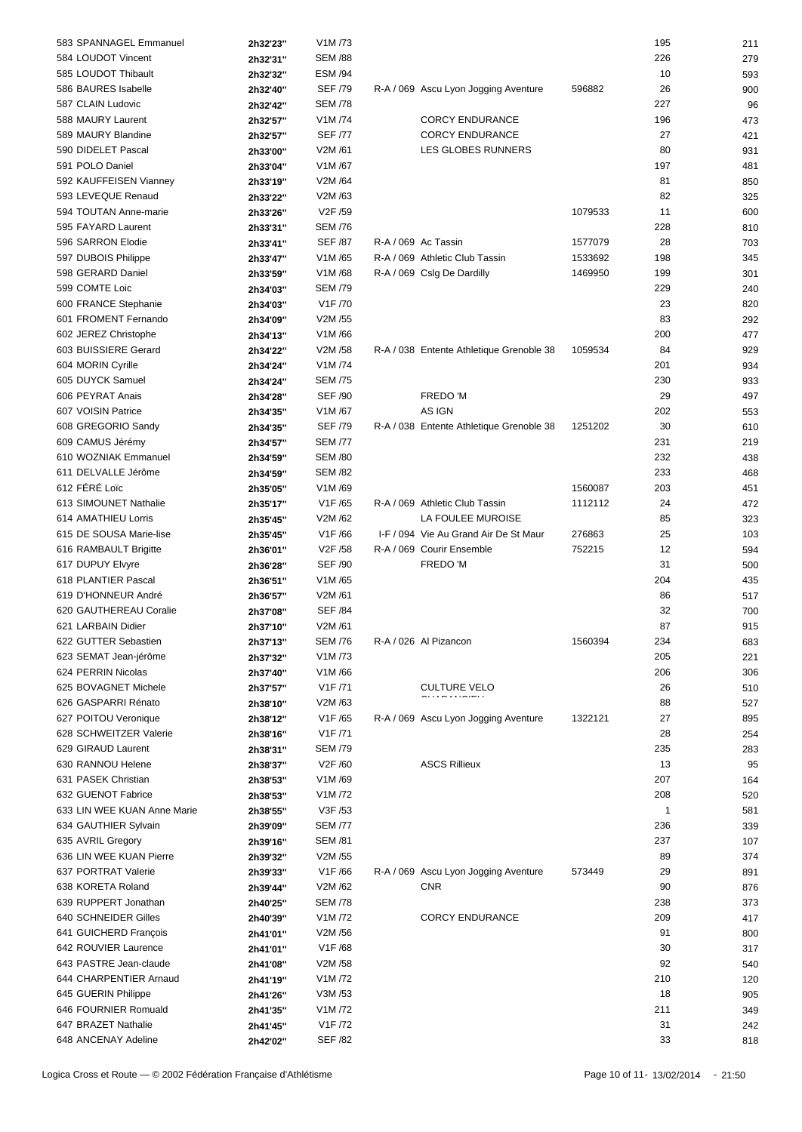| 583 SPANNAGEL Emmanuel      | 2h32'23" | V1M /73              |                                          |         | 195          | 211 |
|-----------------------------|----------|----------------------|------------------------------------------|---------|--------------|-----|
| 584 LOUDOT Vincent          | 2h32'31" | <b>SEM /88</b>       |                                          |         | 226          | 279 |
| 585 LOUDOT Thibault         | 2h32'32" | <b>ESM /94</b>       |                                          |         | 10           | 593 |
| 586 BAURES Isabelle         | 2h32'40" | <b>SEF /79</b>       | R-A / 069 Ascu Lyon Jogging Aventure     | 596882  | 26           | 900 |
| 587 CLAIN Ludovic           | 2h32'42" | <b>SEM /78</b>       |                                          |         | 227          | 96  |
| 588 MAURY Laurent           | 2h32'57" | V1M /74              | <b>CORCY ENDURANCE</b>                   |         | 196          | 473 |
| 589 MAURY Blandine          |          | <b>SEF /77</b>       | <b>CORCY ENDURANCE</b>                   |         | 27           |     |
|                             | 2h32'57" |                      |                                          |         |              | 421 |
| 590 DIDELET Pascal          | 2h33'00" | V2M /61              | LES GLOBES RUNNERS                       |         | 80           | 931 |
| 591 POLO Daniel             | 2h33'04" | V1M /67              |                                          |         | 197          | 481 |
| 592 KAUFFEISEN Vianney      | 2h33'19" | V2M /64              |                                          |         | 81           | 850 |
| 593 LEVEQUE Renaud          | 2h33'22" | V2M /63              |                                          |         | 82           | 325 |
| 594 TOUTAN Anne-marie       | 2h33'26" | V2F /59              |                                          | 1079533 | 11           | 600 |
| 595 FAYARD Laurent          | 2h33'31" | <b>SEM /76</b>       |                                          |         | 228          | 810 |
| 596 SARRON Elodie           | 2h33'41" | <b>SEF /87</b>       | R-A / 069 Ac Tassin                      | 1577079 | 28           | 703 |
| 597 DUBOIS Philippe         | 2h33'47" | V1M /65              | R-A / 069 Athletic Club Tassin           | 1533692 | 198          | 345 |
| 598 GERARD Daniel           | 2h33'59" | V1M/68               | R-A / 069 Cslg De Dardilly               | 1469950 | 199          | 301 |
| 599 COMTE Loic              | 2h34'03" | <b>SEM /79</b>       |                                          |         | 229          | 240 |
| 600 FRANCE Stephanie        | 2h34'03" | V1F /70              |                                          |         | 23           | 820 |
|                             |          | V2M /55              |                                          |         | 83           |     |
| 601 FROMENT Fernando        | 2h34'09" | V1M/66               |                                          |         |              | 292 |
| 602 JEREZ Christophe        | 2h34'13" |                      |                                          |         | 200          | 477 |
| 603 BUISSIERE Gerard        | 2h34'22" | V2M /58              | R-A / 038 Entente Athletique Grenoble 38 | 1059534 | 84           | 929 |
| 604 MORIN Cyrille           | 2h34'24" | V1M /74              |                                          |         | 201          | 934 |
| 605 DUYCK Samuel            | 2h34'24" | <b>SEM /75</b>       |                                          |         | 230          | 933 |
| 606 PEYRAT Anais            | 2h34'28" | <b>SEF /90</b>       | FREDO 'M                                 |         | 29           | 497 |
| 607 VOISIN Patrice          | 2h34'35" | V1M/67               | AS IGN                                   |         | 202          | 553 |
| 608 GREGORIO Sandy          | 2h34'35" | <b>SEF /79</b>       | R-A / 038 Entente Athletique Grenoble 38 | 1251202 | 30           | 610 |
| 609 CAMUS Jérémy            | 2h34'57" | <b>SEM /77</b>       |                                          |         | 231          | 219 |
| 610 WOZNIAK Emmanuel        | 2h34'59" | <b>SEM /80</b>       |                                          |         | 232          | 438 |
| 611 DELVALLE Jérôme         | 2h34'59" | <b>SEM /82</b>       |                                          |         | 233          | 468 |
| 612 FÉRÉ Loïc               | 2h35'05" | V1M/69               |                                          | 1560087 | 203          | 451 |
| 613 SIMOUNET Nathalie       | 2h35'17" | V1F/65               | R-A / 069 Athletic Club Tassin           | 1112112 | 24           | 472 |
| 614 AMATHIEU Lorris         |          | V2M /62              | LA FOULEE MUROISE                        |         | 85           |     |
| 615 DE SOUSA Marie-lise     | 2h35'45" | V1F/66               | I-F / 094 Vie Au Grand Air De St Maur    | 276863  |              | 323 |
|                             | 2h35'45" |                      |                                          |         | 25           | 103 |
| 616 RAMBAULT Brigitte       | 2h36'01" | V2F /58              | R-A / 069 Courir Ensemble                | 752215  | 12           | 594 |
| 617 DUPUY Elvyre            | 2h36'28" | <b>SEF /90</b>       | FREDO 'M                                 |         | 31           | 500 |
| 618 PLANTIER Pascal         | 2h36'51" | V1M /65              |                                          |         | 204          | 435 |
| 619 D'HONNEUR André         | 2h36'57" | V2M /61              |                                          |         | 86           | 517 |
| 620 GAUTHEREAU Coralie      | 2h37'08" | <b>SEF /84</b>       |                                          |         | 32           | 700 |
| 621 LARBAIN Didier          | 2h37'10" | V2M /61              |                                          |         | 87           | 915 |
| 622 GUTTER Sebastien        | 2h37'13" | <b>SEM /76</b>       | R-A / 026 Al Pizancon                    | 1560394 | 234          | 683 |
| 623 SEMAT Jean-jérôme       | 2h37'32" | V1M /73              |                                          |         | 205          | 221 |
| 624 PERRIN Nicolas          | 2h37'40" | V1M/66               |                                          |         | 206          | 306 |
| 625 BOVAGNET Michele        | 2h37'57" | V1F /71              | <b>CULTURE VELO</b>                      |         | 26           | 510 |
| 626 GASPARRI Rénato         | 2h38'10" | V2M /63              |                                          |         | 88           | 527 |
| 627 POITOU Veronique        |          | V1F /65              | R-A / 069 Ascu Lyon Jogging Aventure     | 1322121 | 27           | 895 |
|                             | 2h38'12" |                      |                                          |         |              |     |
| 628 SCHWEITZER Valerie      | 2h38'16" | V <sub>1</sub> F /71 |                                          |         | 28           | 254 |
| 629 GIRAUD Laurent          | 2h38'31" | <b>SEM /79</b>       |                                          |         | 235          | 283 |
| 630 RANNOU Helene           | 2h38'37" | V2F /60              | <b>ASCS Rillieux</b>                     |         | 13           | 95  |
| 631 PASEK Christian         | 2h38'53" | V1M/69               |                                          |         | 207          | 164 |
| 632 GUENOT Fabrice          | 2h38'53" | V1M/72               |                                          |         | 208          | 520 |
| 633 LIN WEE KUAN Anne Marie | 2h38'55" | V3F /53              |                                          |         | $\mathbf{1}$ | 581 |
| 634 GAUTHIER Sylvain        | 2h39'09" | <b>SEM /77</b>       |                                          |         | 236          | 339 |
| 635 AVRIL Gregory           | 2h39'16" | <b>SEM /81</b>       |                                          |         | 237          | 107 |
| 636 LIN WEE KUAN Pierre     | 2h39'32" | V2M /55              |                                          |         | 89           | 374 |
| 637 PORTRAT Valerie         | 2h39'33" | V1F/66               | R-A / 069 Ascu Lyon Jogging Aventure     | 573449  | 29           | 891 |
| 638 KORETA Roland           | 2h39'44" | V2M /62              | <b>CNR</b>                               |         | 90           | 876 |
| 639 RUPPERT Jonathan        | 2h40'25" | <b>SEM /78</b>       |                                          |         | 238          | 373 |
| 640 SCHNEIDER Gilles        |          | V1M /72              | <b>CORCY ENDURANCE</b>                   |         | 209          |     |
|                             | 2h40'39" |                      |                                          |         |              | 417 |
| 641 GUICHERD François       | 2h41'01" | V2M /56              |                                          |         | 91           | 800 |
| 642 ROUVIER Laurence        | 2h41'01" | V1F/68               |                                          |         | 30           | 317 |
| 643 PASTRE Jean-claude      | 2h41'08" | V2M /58              |                                          |         | 92           | 540 |
| 644 CHARPENTIER Arnaud      | 2h41'19" | V1M/72               |                                          |         | 210          | 120 |
| 645 GUERIN Philippe         | 2h41'26" | V3M /53              |                                          |         | 18           | 905 |
| 646 FOURNIER Romuald        | 2h41'35" | V1M/72               |                                          |         | 211          | 349 |
| 647 BRAZET Nathalie         | 2h41'45" | V <sub>1</sub> F /72 |                                          |         | 31           | 242 |
| 648 ANCENAY Adeline         | 2h42'02" | <b>SEF /82</b>       |                                          |         | 33           | 818 |
|                             |          |                      |                                          |         |              |     |